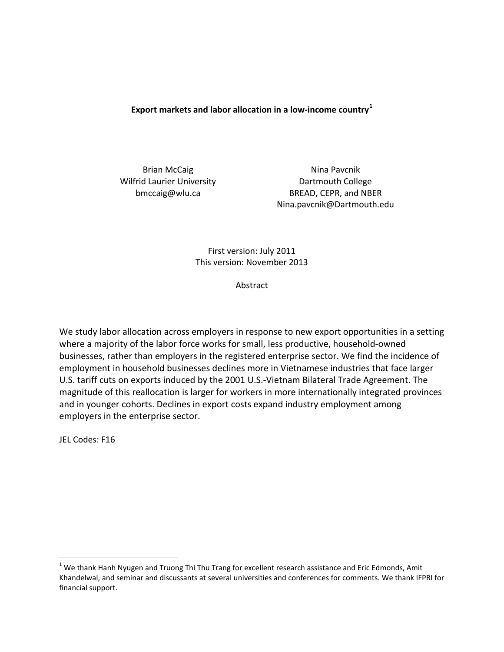**Export markets and labor allocation in a low-income country[1](#page-0-0)**

Brian McCaig Wilfrid Laurier University bmccaig@wlu.ca

Nina Pavcnik Dartmouth College BREAD, CEPR, and NBER Nina.pavcnik@Dartmouth.edu

## First version: July 2011 This version: November 2013

Abstract

We study labor allocation across employers in response to new export opportunities in a setting where a majority of the labor force works for small, less productive, household-owned businesses, rather than employers in the registered enterprise sector. We find the incidence of employment in household businesses declines more in Vietnamese industries that face larger U.S. tariff cuts on exports induced by the 2001 U.S.-Vietnam Bilateral Trade Agreement. The magnitude of this reallocation is larger for workers in more internationally integrated provinces and in younger cohorts. Declines in export costs expand industry employment among employers in the enterprise sector.

JEL Codes: F16

<span id="page-0-0"></span> $1$  We thank Hanh Nyugen and Truong Thi Thu Trang for excellent research assistance and Eric Edmonds, Amit Khandelwal, and seminar and discussants at several universities and conferences for comments. We thank IFPRI for financial support.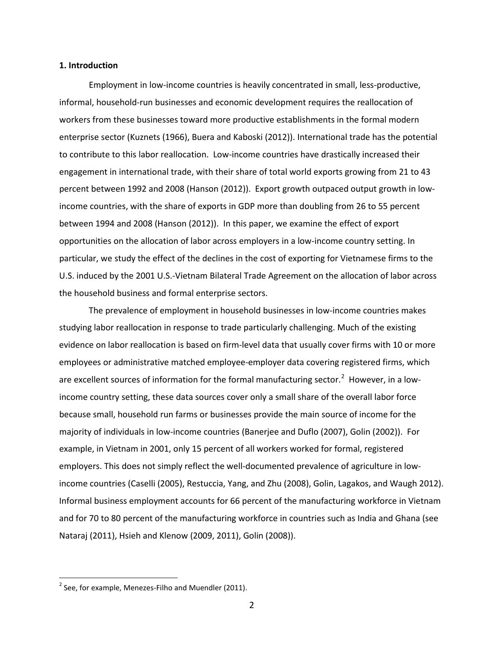### **1. Introduction**

Employment in low-income countries is heavily concentrated in small, less-productive, informal, household-run businesses and economic development requires the reallocation of workers from these businesses toward more productive establishments in the formal modern enterprise sector (Kuznets (1966), Buera and Kaboski (2012)). International trade has the potential to contribute to this labor reallocation. Low-income countries have drastically increased their engagement in international trade, with their share of total world exports growing from 21 to 43 percent between 1992 and 2008 (Hanson (2012)). Export growth outpaced output growth in lowincome countries, with the share of exports in GDP more than doubling from 26 to 55 percent between 1994 and 2008 (Hanson (2012)). In this paper, we examine the effect of export opportunities on the allocation of labor across employers in a low-income country setting. In particular, we study the effect of the declines in the cost of exporting for Vietnamese firms to the U.S. induced by the 2001 U.S.-Vietnam Bilateral Trade Agreement on the allocation of labor across the household business and formal enterprise sectors.

The prevalence of employment in household businesses in low-income countries makes studying labor reallocation in response to trade particularly challenging. Much of the existing evidence on labor reallocation is based on firm-level data that usually cover firms with 10 or more employees or administrative matched employee-employer data covering registered firms, which are excellent sources of information for the formal manufacturing sector.<sup>[2](#page-1-0)</sup> However, in a lowincome country setting, these data sources cover only a small share of the overall labor force because small, household run farms or businesses provide the main source of income for the majority of individuals in low-income countries (Banerjee and Duflo (2007), Golin (2002)). For example, in Vietnam in 2001, only 15 percent of all workers worked for formal, registered employers. This does not simply reflect the well-documented prevalence of agriculture in lowincome countries (Caselli (2005), Restuccia, Yang, and Zhu (2008), Golin, Lagakos, and Waugh 2012). Informal business employment accounts for 66 percent of the manufacturing workforce in Vietnam and for 70 to 80 percent of the manufacturing workforce in countries such as India and Ghana (see Nataraj (2011), Hsieh and Klenow (2009, 2011), Golin (2008)).

<span id="page-1-0"></span> $2$  See, for example, Menezes-Filho and Muendler (2011).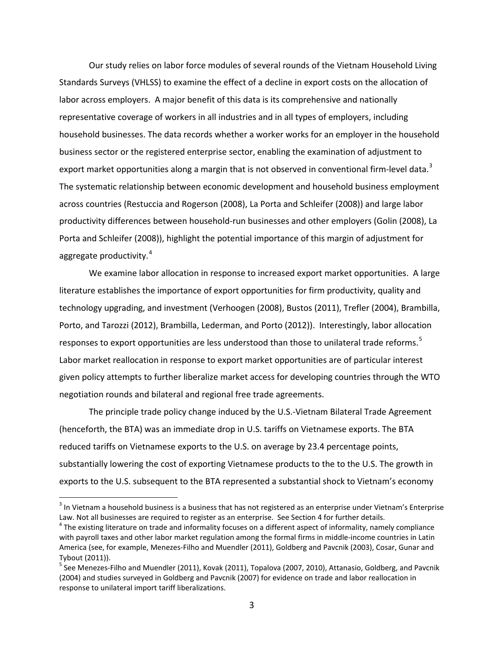Our study relies on labor force modules of several rounds of the Vietnam Household Living Standards Surveys (VHLSS) to examine the effect of a decline in export costs on the allocation of labor across employers. A major benefit of this data is its comprehensive and nationally representative coverage of workers in all industries and in all types of employers, including household businesses. The data records whether a worker works for an employer in the household business sector or the registered enterprise sector, enabling the examination of adjustment to export market opportunities along a margin that is not observed in conventional firm-level data.<sup>[3](#page-2-0)</sup> The systematic relationship between economic development and household business employment across countries (Restuccia and Rogerson (2008), La Porta and Schleifer (2008)) and large labor productivity differences between household-run businesses and other employers (Golin (2008), La Porta and Schleifer (2008)), highlight the potential importance of this margin of adjustment for aggregate productivity. [4](#page-2-1)

We examine labor allocation in response to increased export market opportunities. A large literature establishes the importance of export opportunities for firm productivity, quality and technology upgrading, and investment (Verhoogen (2008), Bustos (2011), Trefler (2004), Brambilla, Porto, and Tarozzi (2012), Brambilla, Lederman, and Porto (2012)). Interestingly, labor allocation responses to export opportunities are less understood than those to unilateral trade reforms.<sup>[5](#page-2-2)</sup> Labor market reallocation in response to export market opportunities are of particular interest given policy attempts to further liberalize market access for developing countries through the WTO negotiation rounds and bilateral and regional free trade agreements.

The principle trade policy change induced by the U.S.-Vietnam Bilateral Trade Agreement (henceforth, the BTA) was an immediate drop in U.S. tariffs on Vietnamese exports. The BTA reduced tariffs on Vietnamese exports to the U.S. on average by 23.4 percentage points, substantially lowering the cost of exporting Vietnamese products to the to the U.S. The growth in exports to the U.S. subsequent to the BTA represented a substantial shock to Vietnam's economy

<span id="page-2-0"></span> $3$  In Vietnam a household business is a business that has not registered as an enterprise under Vietnam's Enterprise Law. Not all businesses are required to register as an enterprise. See Section 4 for further details.<br><sup>4</sup> The existing literature on trade and informality focuses on a different aspect of informality, namely compliance

<span id="page-2-1"></span>with payroll taxes and other labor market regulation among the formal firms in middle-income countries in Latin America (see, for example, Menezes-Filho and Muendler (2011), Goldberg and Pavcnik (2003), Cosar, Gunar and Tybout (2011)).<br><sup>5</sup> See Menezes-Filho and Muendler (2011), Kovak (2011), Topalova (2007, 2010), Attanasio, Goldberg, and Pavcnik

<span id="page-2-2"></span><sup>(2004)</sup> and studies surveyed in Goldberg and Pavcnik (2007) for evidence on trade and labor reallocation in response to unilateral import tariff liberalizations.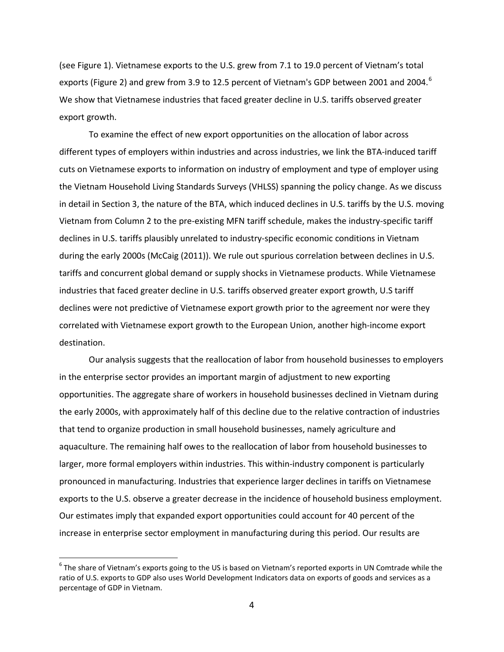(see Figure 1). Vietnamese exports to the U.S. grew from 7.1 to 19.0 percent of Vietnam's total exports (Figure 2) and grew from 3.9 to 12.5 percent of Vietnam's GDP between 2001 and 2004.<sup>[6](#page-3-0)</sup> We show that Vietnamese industries that faced greater decline in U.S. tariffs observed greater export growth.

To examine the effect of new export opportunities on the allocation of labor across different types of employers within industries and across industries, we link the BTA-induced tariff cuts on Vietnamese exports to information on industry of employment and type of employer using the Vietnam Household Living Standards Surveys (VHLSS) spanning the policy change. As we discuss in detail in Section 3, the nature of the BTA, which induced declines in U.S. tariffs by the U.S. moving Vietnam from Column 2 to the pre-existing MFN tariff schedule, makes the industry-specific tariff declines in U.S. tariffs plausibly unrelated to industry-specific economic conditions in Vietnam during the early 2000s (McCaig (2011)). We rule out spurious correlation between declines in U.S. tariffs and concurrent global demand or supply shocks in Vietnamese products. While Vietnamese industries that faced greater decline in U.S. tariffs observed greater export growth, U.S tariff declines were not predictive of Vietnamese export growth prior to the agreement nor were they correlated with Vietnamese export growth to the European Union, another high-income export destination.

Our analysis suggests that the reallocation of labor from household businesses to employers in the enterprise sector provides an important margin of adjustment to new exporting opportunities. The aggregate share of workers in household businesses declined in Vietnam during the early 2000s, with approximately half of this decline due to the relative contraction of industries that tend to organize production in small household businesses, namely agriculture and aquaculture. The remaining half owes to the reallocation of labor from household businesses to larger, more formal employers within industries. This within-industry component is particularly pronounced in manufacturing. Industries that experience larger declines in tariffs on Vietnamese exports to the U.S. observe a greater decrease in the incidence of household business employment. Our estimates imply that expanded export opportunities could account for 40 percent of the increase in enterprise sector employment in manufacturing during this period. Our results are

<span id="page-3-0"></span> $6$  The share of Vietnam's exports going to the US is based on Vietnam's reported exports in UN Comtrade while the ratio of U.S. exports to GDP also uses World Development Indicators data on exports of goods and services as a percentage of GDP in Vietnam.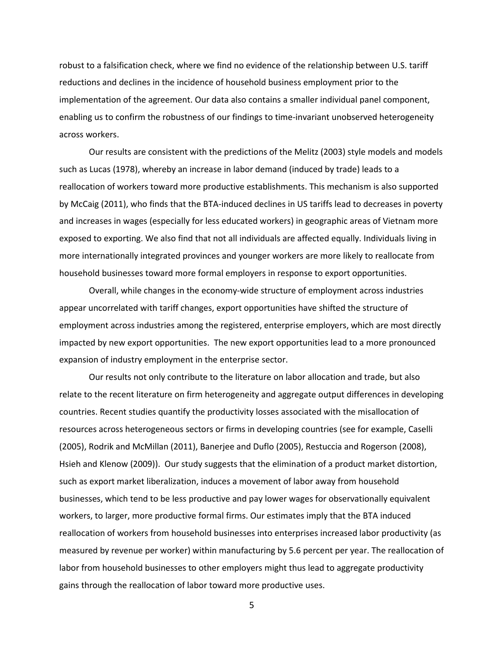robust to a falsification check, where we find no evidence of the relationship between U.S. tariff reductions and declines in the incidence of household business employment prior to the implementation of the agreement. Our data also contains a smaller individual panel component, enabling us to confirm the robustness of our findings to time-invariant unobserved heterogeneity across workers.

Our results are consistent with the predictions of the Melitz (2003) style models and models such as Lucas (1978), whereby an increase in labor demand (induced by trade) leads to a reallocation of workers toward more productive establishments. This mechanism is also supported by McCaig (2011), who finds that the BTA-induced declines in US tariffs lead to decreases in poverty and increases in wages (especially for less educated workers) in geographic areas of Vietnam more exposed to exporting. We also find that not all individuals are affected equally. Individuals living in more internationally integrated provinces and younger workers are more likely to reallocate from household businesses toward more formal employers in response to export opportunities.

Overall, while changes in the economy-wide structure of employment across industries appear uncorrelated with tariff changes, export opportunities have shifted the structure of employment across industries among the registered, enterprise employers, which are most directly impacted by new export opportunities. The new export opportunities lead to a more pronounced expansion of industry employment in the enterprise sector.

Our results not only contribute to the literature on labor allocation and trade, but also relate to the recent literature on firm heterogeneity and aggregate output differences in developing countries. Recent studies quantify the productivity losses associated with the misallocation of resources across heterogeneous sectors or firms in developing countries (see for example, Caselli (2005), Rodrik and McMillan (2011), Banerjee and Duflo (2005), Restuccia and Rogerson (2008), Hsieh and Klenow (2009)). Our study suggests that the elimination of a product market distortion, such as export market liberalization, induces a movement of labor away from household businesses, which tend to be less productive and pay lower wages for observationally equivalent workers, to larger, more productive formal firms. Our estimates imply that the BTA induced reallocation of workers from household businesses into enterprises increased labor productivity (as measured by revenue per worker) within manufacturing by 5.6 percent per year. The reallocation of labor from household businesses to other employers might thus lead to aggregate productivity gains through the reallocation of labor toward more productive uses.

5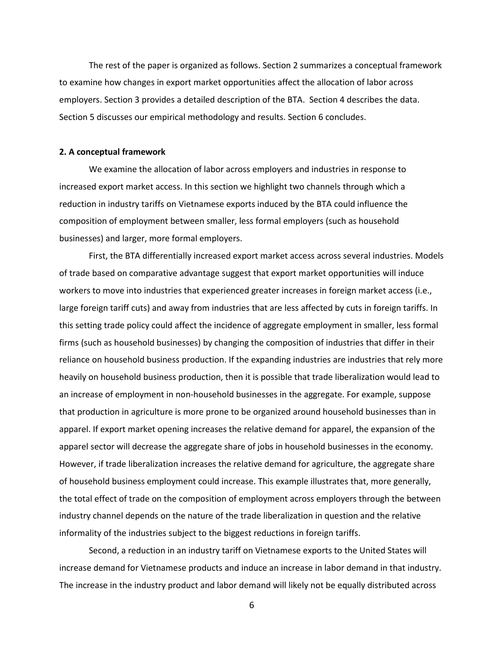The rest of the paper is organized as follows. Section 2 summarizes a conceptual framework to examine how changes in export market opportunities affect the allocation of labor across employers. Section 3 provides a detailed description of the BTA. Section 4 describes the data. Section 5 discusses our empirical methodology and results. Section 6 concludes.

#### **2. A conceptual framework**

We examine the allocation of labor across employers and industries in response to increased export market access. In this section we highlight two channels through which a reduction in industry tariffs on Vietnamese exports induced by the BTA could influence the composition of employment between smaller, less formal employers (such as household businesses) and larger, more formal employers.

First, the BTA differentially increased export market access across several industries. Models of trade based on comparative advantage suggest that export market opportunities will induce workers to move into industries that experienced greater increases in foreign market access (i.e., large foreign tariff cuts) and away from industries that are less affected by cuts in foreign tariffs. In this setting trade policy could affect the incidence of aggregate employment in smaller, less formal firms (such as household businesses) by changing the composition of industries that differ in their reliance on household business production. If the expanding industries are industries that rely more heavily on household business production, then it is possible that trade liberalization would lead to an increase of employment in non-household businesses in the aggregate. For example, suppose that production in agriculture is more prone to be organized around household businesses than in apparel. If export market opening increases the relative demand for apparel, the expansion of the apparel sector will decrease the aggregate share of jobs in household businesses in the economy. However, if trade liberalization increases the relative demand for agriculture, the aggregate share of household business employment could increase. This example illustrates that, more generally, the total effect of trade on the composition of employment across employers through the between industry channel depends on the nature of the trade liberalization in question and the relative informality of the industries subject to the biggest reductions in foreign tariffs.

Second, a reduction in an industry tariff on Vietnamese exports to the United States will increase demand for Vietnamese products and induce an increase in labor demand in that industry. The increase in the industry product and labor demand will likely not be equally distributed across

6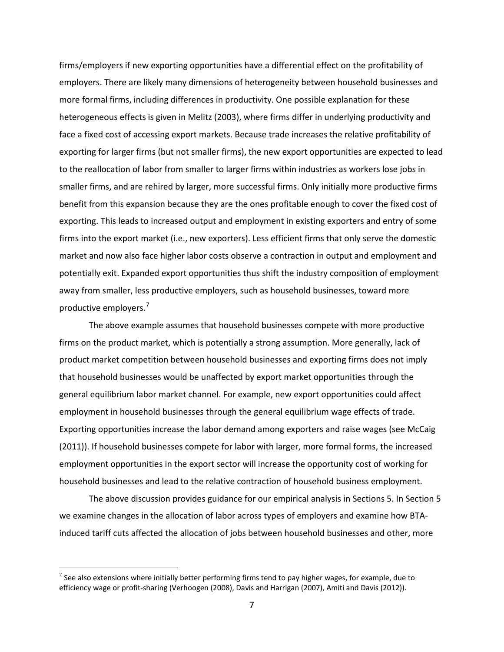firms/employers if new exporting opportunities have a differential effect on the profitability of employers. There are likely many dimensions of heterogeneity between household businesses and more formal firms, including differences in productivity. One possible explanation for these heterogeneous effects is given in Melitz (2003), where firms differ in underlying productivity and face a fixed cost of accessing export markets. Because trade increases the relative profitability of exporting for larger firms (but not smaller firms), the new export opportunities are expected to lead to the reallocation of labor from smaller to larger firms within industries as workers lose jobs in smaller firms, and are rehired by larger, more successful firms. Only initially more productive firms benefit from this expansion because they are the ones profitable enough to cover the fixed cost of exporting. This leads to increased output and employment in existing exporters and entry of some firms into the export market (i.e., new exporters). Less efficient firms that only serve the domestic market and now also face higher labor costs observe a contraction in output and employment and potentially exit. Expanded export opportunities thus shift the industry composition of employment away from smaller, less productive employers, such as household businesses, toward more productive employers. [7](#page-6-0)

The above example assumes that household businesses compete with more productive firms on the product market, which is potentially a strong assumption. More generally, lack of product market competition between household businesses and exporting firms does not imply that household businesses would be unaffected by export market opportunities through the general equilibrium labor market channel. For example, new export opportunities could affect employment in household businesses through the general equilibrium wage effects of trade. Exporting opportunities increase the labor demand among exporters and raise wages (see McCaig (2011)). If household businesses compete for labor with larger, more formal forms, the increased employment opportunities in the export sector will increase the opportunity cost of working for household businesses and lead to the relative contraction of household business employment.

The above discussion provides guidance for our empirical analysis in Sections 5. In Section 5 we examine changes in the allocation of labor across types of employers and examine how BTAinduced tariff cuts affected the allocation of jobs between household businesses and other, more

<span id="page-6-0"></span> $^7$  See also extensions where initially better performing firms tend to pay higher wages, for example, due to efficiency wage or profit-sharing (Verhoogen (2008), Davis and Harrigan (2007), Amiti and Davis (2012)).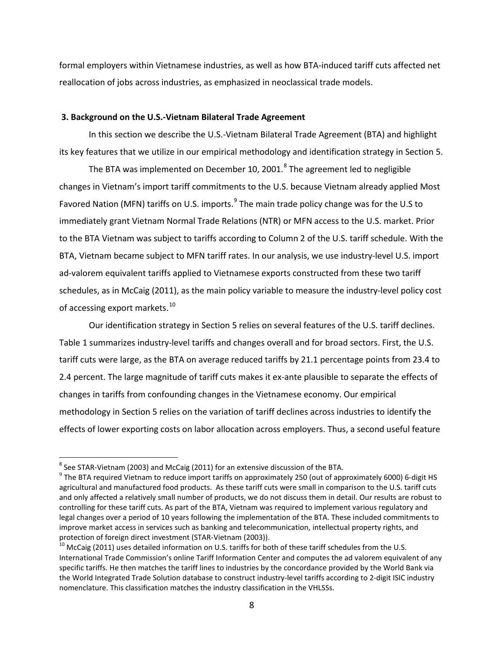formal employers within Vietnamese industries, as well as how BTA-induced tariff cuts affected net reallocation of jobs across industries, as emphasized in neoclassical trade models.

## **3. Background on the U.S.-Vietnam Bilateral Trade Agreement**

In this section we describe the U.S.-Vietnam Bilateral Trade Agreement (BTA) and highlight its key features that we utilize in our empirical methodology and identification strategy in Section 5.

The BTA was implemented on December 10, 2001. $8$  The agreement led to negligible changes in Vietnam's import tariff commitments to the U.S. because Vietnam already applied Most Favored Nation (MFN) tariffs on U.S. imports.<sup>[9](#page-7-1)</sup> The main trade policy change was for the U.S to immediately grant Vietnam Normal Trade Relations (NTR) or MFN access to the U.S. market. Prior to the BTA Vietnam was subject to tariffs according to Column 2 of the U.S. tariff schedule. With the BTA, Vietnam became subject to MFN tariff rates. In our analysis, we use industry-level U.S. import ad-valorem equivalent tariffs applied to Vietnamese exports constructed from these two tariff schedules, as in McCaig (2011), as the main policy variable to measure the industry-level policy cost of accessing export markets.<sup>[10](#page-7-2)</sup>

Our identification strategy in Section 5 relies on several features of the U.S. tariff declines. Table 1 summarizes industry-level tariffs and changes overall and for broad sectors. First, the U.S. tariff cuts were large, as the BTA on average reduced tariffs by 21.1 percentage points from 23.4 to 2.4 percent. The large magnitude of tariff cuts makes it ex-ante plausible to separate the effects of changes in tariffs from confounding changes in the Vietnamese economy. Our empirical methodology in Section 5 relies on the variation of tariff declines across industries to identify the effects of lower exporting costs on labor allocation across employers. Thus, a second useful feature

<span id="page-7-0"></span> $8$  See STAR-Vietnam (2003) and McCaig (2011) for an extensive discussion of the BTA.

<span id="page-7-1"></span> $9$  The BTA required Vietnam to reduce import tariffs on approximately 250 (out of approximately 6000) 6-digit HS agricultural and manufactured food products. As these tariff cuts were small in comparison to the U.S. tariff cuts and only affected a relatively small number of products, we do not discuss them in detail. Our results are robust to controlling for these tariff cuts. As part of the BTA, Vietnam was required to implement various regulatory and legal changes over a period of 10 years following the implementation of the BTA. These included commitments to improve market access in services such as banking and telecommunication, intellectual property rights, and protection of foreign direct investment (STAR-Vietnam (2003)).<br><sup>10</sup> McCaig (2011) uses detailed information on U.S. tariffs for both of these tariff schedules from the U.S.

<span id="page-7-2"></span>International Trade Commission's online Tariff Information Center and computes the ad valorem equivalent of any specific tariffs. He then matches the tariff lines to industries by the concordance provided by the World Bank via the World Integrated Trade Solution database to construct industry-level tariffs according to 2-digit ISIC industry nomenclature. This classification matches the industry classification in the VHLSSs.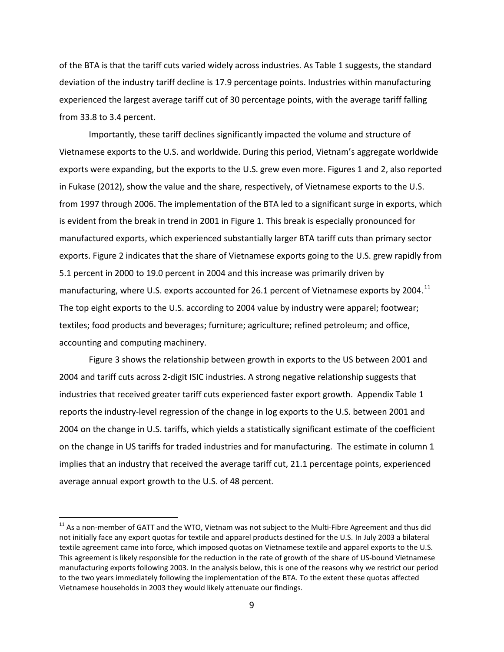of the BTA is that the tariff cuts varied widely across industries. As Table 1 suggests, the standard deviation of the industry tariff decline is 17.9 percentage points. Industries within manufacturing experienced the largest average tariff cut of 30 percentage points, with the average tariff falling from 33.8 to 3.4 percent.

Importantly, these tariff declines significantly impacted the volume and structure of Vietnamese exports to the U.S. and worldwide. During this period, Vietnam's aggregate worldwide exports were expanding, but the exports to the U.S. grew even more. Figures 1 and 2, also reported in Fukase (2012), show the value and the share, respectively, of Vietnamese exports to the U.S. from 1997 through 2006. The implementation of the BTA led to a significant surge in exports, which is evident from the break in trend in 2001 in Figure 1. This break is especially pronounced for manufactured exports, which experienced substantially larger BTA tariff cuts than primary sector exports. Figure 2 indicates that the share of Vietnamese exports going to the U.S. grew rapidly from 5.1 percent in 2000 to 19.0 percent in 2004 and this increase was primarily driven by manufacturing, where U.S. exports accounted for 26.1 percent of Vietnamese exports by 2004.<sup>[11](#page-8-0)</sup> The top eight exports to the U.S. according to 2004 value by industry were apparel; footwear; textiles; food products and beverages; furniture; agriculture; refined petroleum; and office, accounting and computing machinery.

Figure 3 shows the relationship between growth in exports to the US between 2001 and 2004 and tariff cuts across 2-digit ISIC industries. A strong negative relationship suggests that industries that received greater tariff cuts experienced faster export growth. Appendix Table 1 reports the industry-level regression of the change in log exports to the U.S. between 2001 and 2004 on the change in U.S. tariffs, which yields a statistically significant estimate of the coefficient on the change in US tariffs for traded industries and for manufacturing. The estimate in column 1 implies that an industry that received the average tariff cut, 21.1 percentage points, experienced average annual export growth to the U.S. of 48 percent.

<span id="page-8-0"></span> $11$  As a non-member of GATT and the WTO, Vietnam was not subject to the Multi-Fibre Agreement and thus did not initially face any export quotas for textile and apparel products destined for the U.S. In July 2003 a bilateral textile agreement came into force, which imposed quotas on Vietnamese textile and apparel exports to the U.S. This agreement is likely responsible for the reduction in the rate of growth of the share of US-bound Vietnamese manufacturing exports following 2003. In the analysis below, this is one of the reasons why we restrict our period to the two years immediately following the implementation of the BTA. To the extent these quotas affected Vietnamese households in 2003 they would likely attenuate our findings.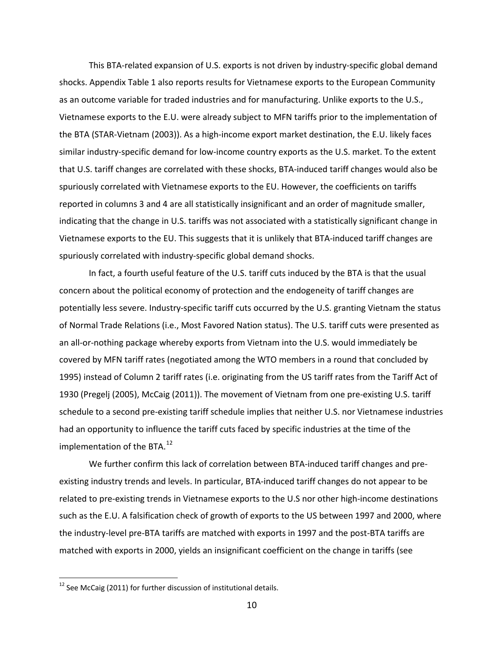This BTA-related expansion of U.S. exports is not driven by industry-specific global demand shocks. Appendix Table 1 also reports results for Vietnamese exports to the European Community as an outcome variable for traded industries and for manufacturing. Unlike exports to the U.S., Vietnamese exports to the E.U. were already subject to MFN tariffs prior to the implementation of the BTA (STAR-Vietnam (2003)). As a high-income export market destination, the E.U. likely faces similar industry-specific demand for low-income country exports as the U.S. market. To the extent that U.S. tariff changes are correlated with these shocks, BTA-induced tariff changes would also be spuriously correlated with Vietnamese exports to the EU. However, the coefficients on tariffs reported in columns 3 and 4 are all statistically insignificant and an order of magnitude smaller, indicating that the change in U.S. tariffs was not associated with a statistically significant change in Vietnamese exports to the EU. This suggests that it is unlikely that BTA-induced tariff changes are spuriously correlated with industry-specific global demand shocks.

In fact, a fourth useful feature of the U.S. tariff cuts induced by the BTA is that the usual concern about the political economy of protection and the endogeneity of tariff changes are potentially less severe. Industry-specific tariff cuts occurred by the U.S. granting Vietnam the status of Normal Trade Relations (i.e., Most Favored Nation status). The U.S. tariff cuts were presented as an all-or-nothing package whereby exports from Vietnam into the U.S. would immediately be covered by MFN tariff rates (negotiated among the WTO members in a round that concluded by 1995) instead of Column 2 tariff rates (i.e. originating from the US tariff rates from the Tariff Act of 1930 (Pregelj (2005), McCaig (2011)). The movement of Vietnam from one pre-existing U.S. tariff schedule to a second pre-existing tariff schedule implies that neither U.S. nor Vietnamese industries had an opportunity to influence the tariff cuts faced by specific industries at the time of the implementation of the BTA.<sup>[12](#page-9-0)</sup>

We further confirm this lack of correlation between BTA-induced tariff changes and preexisting industry trends and levels. In particular, BTA-induced tariff changes do not appear to be related to pre-existing trends in Vietnamese exports to the U.S nor other high-income destinations such as the E.U. A falsification check of growth of exports to the US between 1997 and 2000, where the industry-level pre-BTA tariffs are matched with exports in 1997 and the post-BTA tariffs are matched with exports in 2000, yields an insignificant coefficient on the change in tariffs (see

<span id="page-9-0"></span> $12$  See McCaig (2011) for further discussion of institutional details.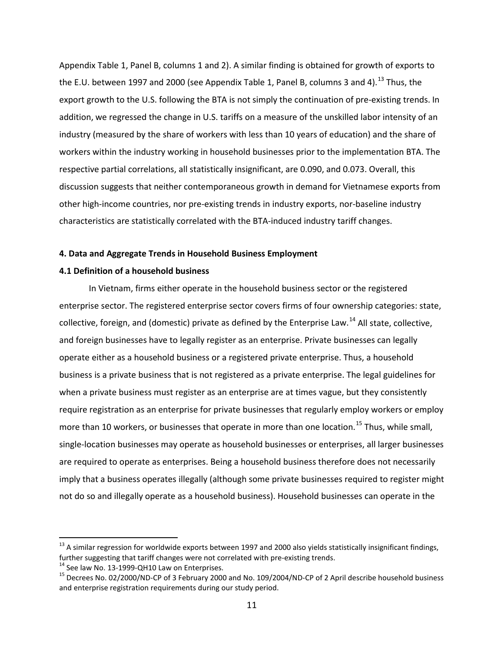Appendix Table 1, Panel B, columns 1 and 2). A similar finding is obtained for growth of exports to the E.U. between 1997 and 2000 (see Appendix Table 1, Panel B, columns 3 and 4).<sup>[13](#page-10-0)</sup> Thus, the export growth to the U.S. following the BTA is not simply the continuation of pre-existing trends. In addition, we regressed the change in U.S. tariffs on a measure of the unskilled labor intensity of an industry (measured by the share of workers with less than 10 years of education) and the share of workers within the industry working in household businesses prior to the implementation BTA. The respective partial correlations, all statistically insignificant, are 0.090, and 0.073. Overall, this discussion suggests that neither contemporaneous growth in demand for Vietnamese exports from other high-income countries, nor pre-existing trends in industry exports, nor-baseline industry characteristics are statistically correlated with the BTA-induced industry tariff changes.

## **4. Data and Aggregate Trends in Household Business Employment**

## **4.1 Definition of a household business**

In Vietnam, firms either operate in the household business sector or the registered enterprise sector. The registered enterprise sector covers firms of four ownership categories: state, collective, foreign, and (domestic) private as defined by the Enterprise Law.<sup>[14](#page-10-1)</sup> All state, collective, and foreign businesses have to legally register as an enterprise. Private businesses can legally operate either as a household business or a registered private enterprise. Thus, a household business is a private business that is not registered as a private enterprise. The legal guidelines for when a private business must register as an enterprise are at times vague, but they consistently require registration as an enterprise for private businesses that regularly employ workers or employ more than 10 workers, or businesses that operate in more than one location.<sup>[15](#page-10-2)</sup> Thus, while small, single-location businesses may operate as household businesses or enterprises, all larger businesses are required to operate as enterprises. Being a household business therefore does not necessarily imply that a business operates illegally (although some private businesses required to register might not do so and illegally operate as a household business). Household businesses can operate in the

<span id="page-10-0"></span> $^{13}$  A similar regression for worldwide exports between 1997 and 2000 also yields statistically insignificant findings, further suggesting that tariff changes were not correlated with pre-existing trends.<br><sup>14</sup> See law No. 13-1999-QH10 Law on Enterprises.<br><sup>15</sup> Decrees No. 02/2000/ND-CP of 3 February 2000 and No. 109/2004/ND-CP of 2 April des

<span id="page-10-1"></span>

<span id="page-10-2"></span>and enterprise registration requirements during our study period.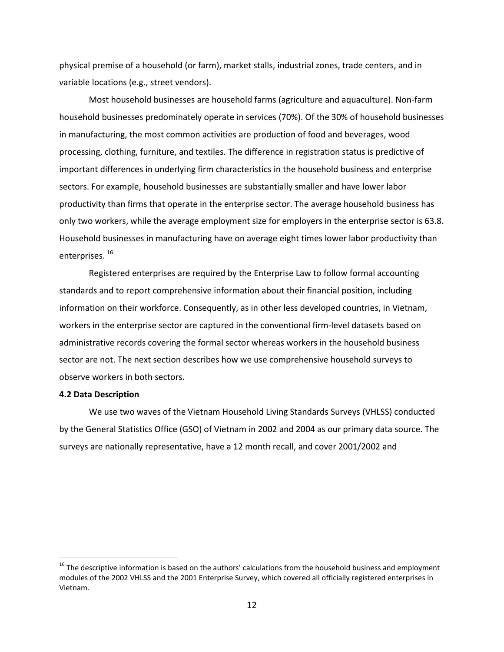physical premise of a household (or farm), market stalls, industrial zones, trade centers, and in variable locations (e.g., street vendors).

Most household businesses are household farms (agriculture and aquaculture). Non-farm household businesses predominately operate in services (70%). Of the 30% of household businesses in manufacturing, the most common activities are production of food and beverages, wood processing, clothing, furniture, and textiles. The difference in registration status is predictive of important differences in underlying firm characteristics in the household business and enterprise sectors. For example, household businesses are substantially smaller and have lower labor productivity than firms that operate in the enterprise sector. The average household business has only two workers, while the average employment size for employers in the enterprise sector is 63.8. Household businesses in manufacturing have on average eight times lower labor productivity than enterprises. [16](#page-11-0)

Registered enterprises are required by the Enterprise Law to follow formal accounting standards and to report comprehensive information about their financial position, including information on their workforce. Consequently, as in other less developed countries, in Vietnam, workers in the enterprise sector are captured in the conventional firm-level datasets based on administrative records covering the formal sector whereas workers in the household business sector are not. The next section describes how we use comprehensive household surveys to observe workers in both sectors.

### **4.2 Data Description**

We use two waves of the Vietnam Household Living Standards Surveys (VHLSS) conducted by the General Statistics Office (GSO) of Vietnam in 2002 and 2004 as our primary data source. The surveys are nationally representative, have a 12 month recall, and cover 2001/2002 and

<span id="page-11-0"></span><sup>&</sup>lt;sup>16</sup> The descriptive information is based on the authors' calculations from the household business and employment modules of the 2002 VHLSS and the 2001 Enterprise Survey, which covered all officially registered enterprises in Vietnam.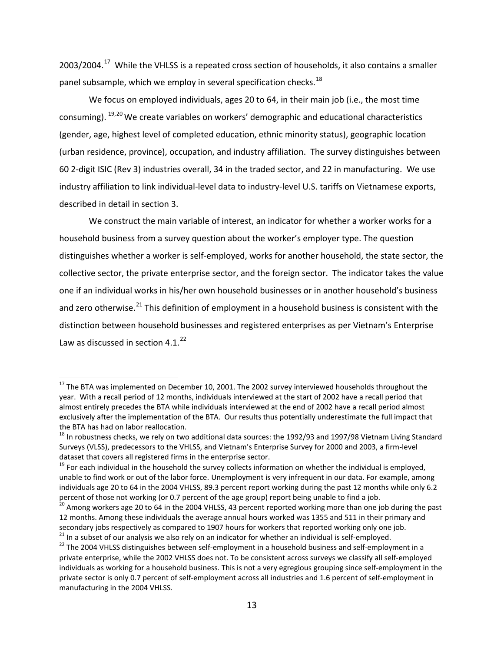2003/2004.<sup>[17](#page-12-0)</sup> While the VHLSS is a repeated cross section of households, it also contains a smaller panel subsample, which we employ in several specification checks.<sup>[18](#page-12-1)</sup>

We focus on employed individuals, ages 20 to 64, in their main job (i.e., the most time consuming). <sup>[19](#page-12-2),[20](#page-12-3)</sup> We create variables on workers' demographic and educational characteristics (gender, age, highest level of completed education, ethnic minority status), geographic location (urban residence, province), occupation, and industry affiliation. The survey distinguishes between 60 2-digit ISIC (Rev 3) industries overall, 34 in the traded sector, and 22 in manufacturing. We use industry affiliation to link individual-level data to industry-level U.S. tariffs on Vietnamese exports, described in detail in section 3.

We construct the main variable of interest, an indicator for whether a worker works for a household business from a survey question about the worker's employer type. The question distinguishes whether a worker is self-employed, works for another household, the state sector, the collective sector, the private enterprise sector, and the foreign sector. The indicator takes the value one if an individual works in his/her own household businesses or in another household's business and zero otherwise.<sup>[21](#page-12-4)</sup> This definition of employment in a household business is consistent with the distinction between household businesses and registered enterprises as per Vietnam's Enterprise Law as discussed in section 4.1.<sup>[22](#page-12-5)</sup>

<span id="page-12-0"></span><sup>&</sup>lt;sup>17</sup> The BTA was implemented on December 10, 2001. The 2002 survey interviewed households throughout the year. With a recall period of 12 months, individuals interviewed at the start of 2002 have a recall period that almost entirely precedes the BTA while individuals interviewed at the end of 2002 have a recall period almost exclusively after the implementation of the BTA. Our results thus potentially underestimate the full impact that the BTA has had on labor reallocation.

<span id="page-12-1"></span> $18$  In robustness checks, we rely on two additional data sources: the 1992/93 and 1997/98 Vietnam Living Standard Surveys (VLSS), predecessors to the VHLSS, and Vietnam's Enterprise Survey for 2000 and 2003, a firm-level dataset that covers all registered firms in the enterprise sector.

<span id="page-12-2"></span> $19$  For each individual in the household the survey collects information on whether the individual is employed, unable to find work or out of the labor force. Unemployment is very infrequent in our data. For example, among individuals age 20 to 64 in the 2004 VHLSS, 89.3 percent report working during the past 12 months while only 6.2 percent of those not working (or 0.7 percent of the age group) report being unable to find a job.

<span id="page-12-3"></span> $^{20}$  Among workers age 20 to 64 in the 2004 VHLSS, 43 percent reported working more than one job during the past 12 months. Among these individuals the average annual hours worked was 1355 and 511 in their primary and secondary jobs respectively as compared to 1907 hours for workers that reported working only one job. 21 In a subset of our analysis we also rely on an indicator for whether an individual is self-employed.<br><sup>22</sup> The 2004 VHLSS distinguishes between self-employment in a household business and self-employment in a

<span id="page-12-5"></span><span id="page-12-4"></span>private enterprise, while the 2002 VHLSS does not. To be consistent across surveys we classify all self-employed individuals as working for a household business. This is not a very egregious grouping since self-employment in the private sector is only 0.7 percent of self-employment across all industries and 1.6 percent of self-employment in manufacturing in the 2004 VHLSS.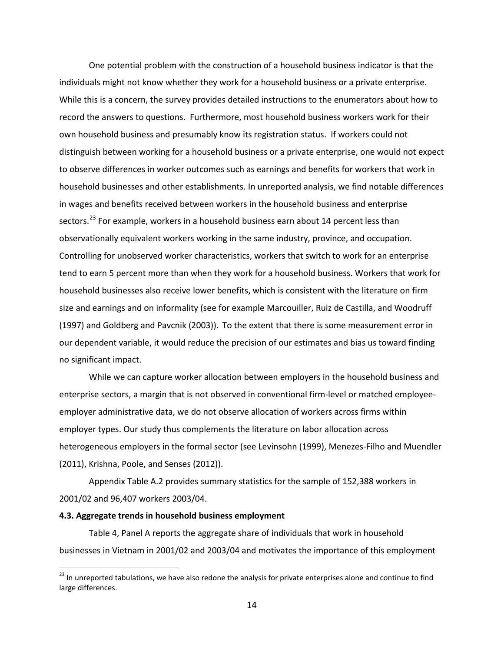One potential problem with the construction of a household business indicator is that the individuals might not know whether they work for a household business or a private enterprise. While this is a concern, the survey provides detailed instructions to the enumerators about how to record the answers to questions. Furthermore, most household business workers work for their own household business and presumably know its registration status. If workers could not distinguish between working for a household business or a private enterprise, one would not expect to observe differences in worker outcomes such as earnings and benefits for workers that work in household businesses and other establishments. In unreported analysis, we find notable differences in wages and benefits received between workers in the household business and enterprise sectors.<sup>[23](#page-13-0)</sup> For example, workers in a household business earn about 14 percent less than observationally equivalent workers working in the same industry, province, and occupation. Controlling for unobserved worker characteristics, workers that switch to work for an enterprise tend to earn 5 percent more than when they work for a household business. Workers that work for household businesses also receive lower benefits, which is consistent with the literature on firm size and earnings and on informality (see for example Marcouiller, Ruiz de Castilla, and Woodruff (1997) and Goldberg and Pavcnik (2003)). To the extent that there is some measurement error in our dependent variable, it would reduce the precision of our estimates and bias us toward finding no significant impact.

While we can capture worker allocation between employers in the household business and enterprise sectors, a margin that is not observed in conventional firm-level or matched employeeemployer administrative data, we do not observe allocation of workers across firms within employer types. Our study thus complements the literature on labor allocation across heterogeneous employers in the formal sector (see Levinsohn (1999), Menezes-Filho and Muendler (2011), Krishna, Poole, and Senses (2012)).

Appendix Table A.2 provides summary statistics for the sample of 152,388 workers in 2001/02 and 96,407 workers 2003/04.

### **4.3. Aggregate trends in household business employment**

Table 4, Panel A reports the aggregate share of individuals that work in household businesses in Vietnam in 2001/02 and 2003/04 and motivates the importance of this employment

<span id="page-13-0"></span><sup>&</sup>lt;sup>23</sup> In unreported tabulations, we have also redone the analysis for private enterprises alone and continue to find large differences.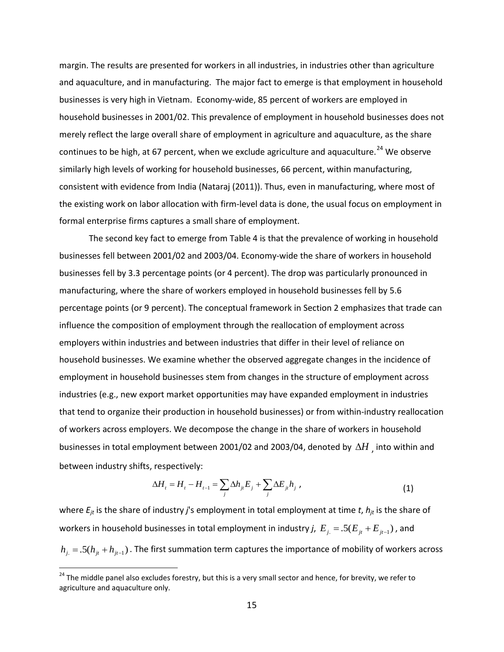margin. The results are presented for workers in all industries, in industries other than agriculture and aquaculture, and in manufacturing. The major fact to emerge is that employment in household businesses is very high in Vietnam. Economy-wide, 85 percent of workers are employed in household businesses in 2001/02. This prevalence of employment in household businesses does not merely reflect the large overall share of employment in agriculture and aquaculture, as the share continues to be high, at 67 percent, when we exclude agriculture and aquaculture.<sup>[24](#page-14-0)</sup> We observe similarly high levels of working for household businesses, 66 percent, within manufacturing, consistent with evidence from India (Nataraj (2011)). Thus, even in manufacturing, where most of the existing work on labor allocation with firm-level data is done, the usual focus on employment in formal enterprise firms captures a small share of employment.

The second key fact to emerge from Table 4 is that the prevalence of working in household businesses fell between 2001/02 and 2003/04. Economy-wide the share of workers in household businesses fell by 3.3 percentage points (or 4 percent). The drop was particularly pronounced in manufacturing, where the share of workers employed in household businesses fell by 5.6 percentage points (or 9 percent). The conceptual framework in Section 2 emphasizes that trade can influence the composition of employment through the reallocation of employment across employers within industries and between industries that differ in their level of reliance on household businesses. We examine whether the observed aggregate changes in the incidence of employment in household businesses stem from changes in the structure of employment across industries (e.g., new export market opportunities may have expanded employment in industries that tend to organize their production in household businesses) or from within-industry reallocation of workers across employers. We decompose the change in the share of workers in household businesses in total employment between 2001/02 and 2003/04, denoted by ∆*H* , into within and between industry shifts, respectively:

$$
\Delta H_t = H_t - H_{t-1} = \sum_j \Delta h_{ji} E_j + \sum_j \Delta E_{ji} h_j \tag{1}
$$

where  $E_{jt}$  is the share of industry *j*'s employment in total employment at time *t*,  $h_{jt}$  is the share of workers in household businesses in total employment in industry *j*,  $E_{j} = .5(E_{jt} + E_{jt-1})$  , and  $h_{j.} = .5(h_{jt} + h_{jt-1})$ . The first summation term captures the importance of mobility of workers across

<span id="page-14-0"></span><sup>&</sup>lt;sup>24</sup> The middle panel also excludes forestry, but this is a very small sector and hence, for brevity, we refer to agriculture and aquaculture only.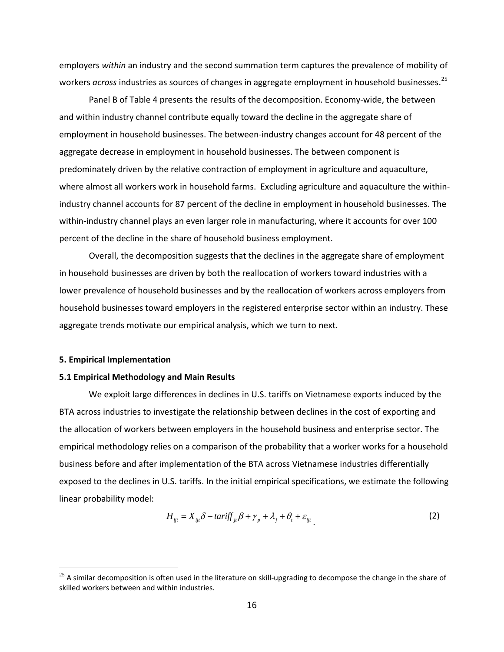employers *within* an industry and the second summation term captures the prevalence of mobility of workers *across* industries as sources of changes in aggregate employment in household businesses.<sup>[25](#page-15-0)</sup>

Panel B of Table 4 presents the results of the decomposition. Economy-wide, the between and within industry channel contribute equally toward the decline in the aggregate share of employment in household businesses. The between-industry changes account for 48 percent of the aggregate decrease in employment in household businesses. The between component is predominately driven by the relative contraction of employment in agriculture and aquaculture, where almost all workers work in household farms. Excluding agriculture and aquaculture the withinindustry channel accounts for 87 percent of the decline in employment in household businesses. The within-industry channel plays an even larger role in manufacturing, where it accounts for over 100 percent of the decline in the share of household business employment.

Overall, the decomposition suggests that the declines in the aggregate share of employment in household businesses are driven by both the reallocation of workers toward industries with a lower prevalence of household businesses and by the reallocation of workers across employers from household businesses toward employers in the registered enterprise sector within an industry. These aggregate trends motivate our empirical analysis, which we turn to next.

#### **5. Empirical Implementation**

#### **5.1 Empirical Methodology and Main Results**

We exploit large differences in declines in U.S. tariffs on Vietnamese exports induced by the BTA across industries to investigate the relationship between declines in the cost of exporting and the allocation of workers between employers in the household business and enterprise sector. The empirical methodology relies on a comparison of the probability that a worker works for a household business before and after implementation of the BTA across Vietnamese industries differentially exposed to the declines in U.S. tariffs. In the initial empirical specifications, we estimate the following linear probability model:

$$
H_{ijt} = X_{ijt}\delta + \t\alpha r \t\text{iff}_{jt}\beta + \gamma_p + \lambda_j + \theta_t + \varepsilon_{ijt}
$$
\n<sup>(2)</sup>

<span id="page-15-0"></span> $25$  A similar decomposition is often used in the literature on skill-upgrading to decompose the change in the share of skilled workers between and within industries.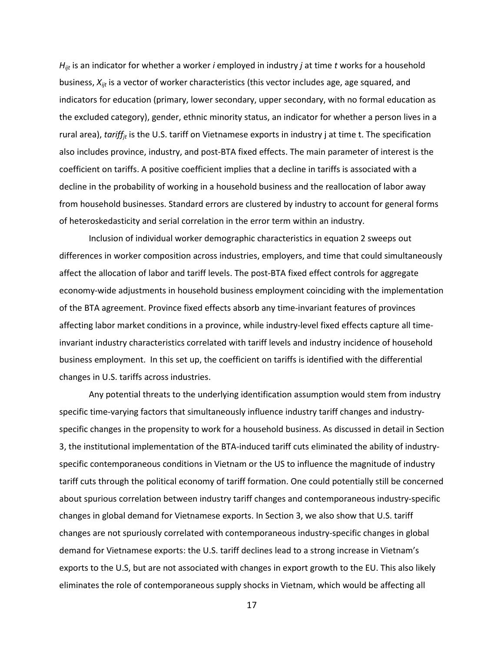*Hijt* is an indicator for whether a worker *i* employed in industry *j* at time *t* works for a household business, *Xijt* is a vector of worker characteristics (this vector includes age, age squared, and indicators for education (primary, lower secondary, upper secondary, with no formal education as the excluded category), gender, ethnic minority status, an indicator for whether a person lives in a rural area), *tariff<sub>it</sub>* is the U.S. tariff on Vietnamese exports in industry j at time t. The specification also includes province, industry, and post-BTA fixed effects. The main parameter of interest is the coefficient on tariffs. A positive coefficient implies that a decline in tariffs is associated with a decline in the probability of working in a household business and the reallocation of labor away from household businesses. Standard errors are clustered by industry to account for general forms of heteroskedasticity and serial correlation in the error term within an industry.

Inclusion of individual worker demographic characteristics in equation 2 sweeps out differences in worker composition across industries, employers, and time that could simultaneously affect the allocation of labor and tariff levels. The post-BTA fixed effect controls for aggregate economy-wide adjustments in household business employment coinciding with the implementation of the BTA agreement. Province fixed effects absorb any time-invariant features of provinces affecting labor market conditions in a province, while industry-level fixed effects capture all timeinvariant industry characteristics correlated with tariff levels and industry incidence of household business employment. In this set up, the coefficient on tariffs is identified with the differential changes in U.S. tariffs across industries.

Any potential threats to the underlying identification assumption would stem from industry specific time-varying factors that simultaneously influence industry tariff changes and industryspecific changes in the propensity to work for a household business. As discussed in detail in Section 3, the institutional implementation of the BTA-induced tariff cuts eliminated the ability of industryspecific contemporaneous conditions in Vietnam or the US to influence the magnitude of industry tariff cuts through the political economy of tariff formation. One could potentially still be concerned about spurious correlation between industry tariff changes and contemporaneous industry-specific changes in global demand for Vietnamese exports. In Section 3, we also show that U.S. tariff changes are not spuriously correlated with contemporaneous industry-specific changes in global demand for Vietnamese exports: the U.S. tariff declines lead to a strong increase in Vietnam's exports to the U.S, but are not associated with changes in export growth to the EU. This also likely eliminates the role of contemporaneous supply shocks in Vietnam, which would be affecting all

17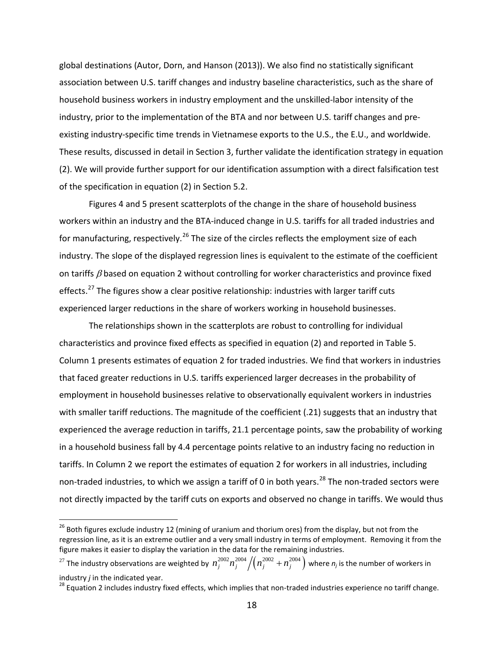global destinations (Autor, Dorn, and Hanson (2013)). We also find no statistically significant association between U.S. tariff changes and industry baseline characteristics, such as the share of household business workers in industry employment and the unskilled-labor intensity of the industry, prior to the implementation of the BTA and nor between U.S. tariff changes and preexisting industry-specific time trends in Vietnamese exports to the U.S., the E.U., and worldwide. These results, discussed in detail in Section 3, further validate the identification strategy in equation (2). We will provide further support for our identification assumption with a direct falsification test of the specification in equation (2) in Section 5.2.

Figures 4 and 5 present scatterplots of the change in the share of household business workers within an industry and the BTA-induced change in U.S. tariffs for all traded industries and for manufacturing, respectively.<sup>[26](#page-17-0)</sup> The size of the circles reflects the employment size of each industry. The slope of the displayed regression lines is equivalent to the estimate of the coefficient on tariffs  $\beta$  based on equation 2 without controlling for worker characteristics and province fixed effects.<sup>[27](#page-17-1)</sup> The figures show a clear positive relationship: industries with larger tariff cuts experienced larger reductions in the share of workers working in household businesses.

The relationships shown in the scatterplots are robust to controlling for individual characteristics and province fixed effects as specified in equation (2) and reported in Table 5. Column 1 presents estimates of equation 2 for traded industries. We find that workers in industries that faced greater reductions in U.S. tariffs experienced larger decreases in the probability of employment in household businesses relative to observationally equivalent workers in industries with smaller tariff reductions. The magnitude of the coefficient (.21) suggests that an industry that experienced the average reduction in tariffs, 21.1 percentage points, saw the probability of working in a household business fall by 4.4 percentage points relative to an industry facing no reduction in tariffs. In Column 2 we report the estimates of equation 2 for workers in all industries, including non-traded industries, to which we assign a tariff of 0 in both years.<sup>[28](#page-17-2)</sup> The non-traded sectors were not directly impacted by the tariff cuts on exports and observed no change in tariffs. We would thus

<span id="page-17-0"></span><sup>&</sup>lt;sup>26</sup> Both figures exclude industry 12 (mining of uranium and thorium ores) from the display, but not from the regression line, as it is an extreme outlier and a very small industry in terms of employment. Removing it from the figure makes it easier to display the variation in the data for the remaining industries.

<span id="page-17-1"></span><sup>&</sup>lt;sup>27</sup> The industry observations are weighted by  $n_j^{2002}n_j^{2004}{\Large /}\big(n_j^{2002}+n_j^{2004}\big)$  where  $n_j$  is the number of workers in

<span id="page-17-2"></span>industry *j* in the indicated year.<br><sup>28</sup> Equation 2 includes industry fixed effects, which implies that non-traded industries experience no tariff change.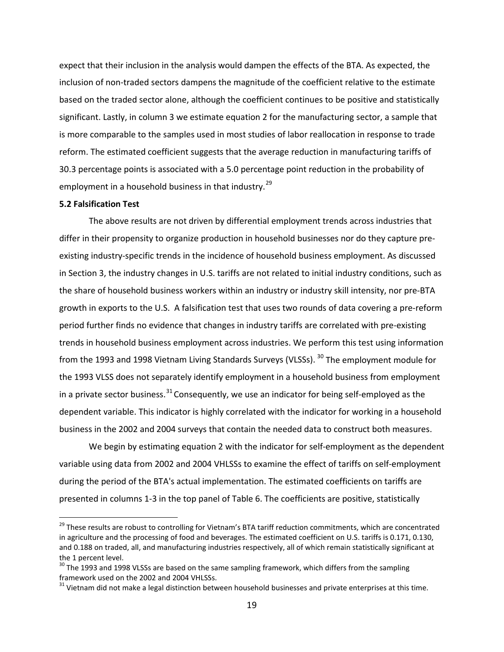expect that their inclusion in the analysis would dampen the effects of the BTA. As expected, the inclusion of non-traded sectors dampens the magnitude of the coefficient relative to the estimate based on the traded sector alone, although the coefficient continues to be positive and statistically significant. Lastly, in column 3 we estimate equation 2 for the manufacturing sector, a sample that is more comparable to the samples used in most studies of labor reallocation in response to trade reform. The estimated coefficient suggests that the average reduction in manufacturing tariffs of 30.3 percentage points is associated with a 5.0 percentage point reduction in the probability of employment in a household business in that industry.<sup>[29](#page-18-0)</sup>

### **5.2 Falsification Test**

The above results are not driven by differential employment trends across industries that differ in their propensity to organize production in household businesses nor do they capture preexisting industry-specific trends in the incidence of household business employment. As discussed in Section 3, the industry changes in U.S. tariffs are not related to initial industry conditions, such as the share of household business workers within an industry or industry skill intensity, nor pre-BTA growth in exports to the U.S. A falsification test that uses two rounds of data covering a pre-reform period further finds no evidence that changes in industry tariffs are correlated with pre-existing trends in household business employment across industries. We perform this test using information from the 1993 and 1998 Vietnam Living Standards Surveys (VLSSs). <sup>[30](#page-18-1)</sup> The employment module for the 1993 VLSS does not separately identify employment in a household business from employment in a private sector business.<sup>[31](#page-18-2)</sup> Consequently, we use an indicator for being self-employed as the dependent variable. This indicator is highly correlated with the indicator for working in a household business in the 2002 and 2004 surveys that contain the needed data to construct both measures.

We begin by estimating equation 2 with the indicator for self-employment as the dependent variable using data from 2002 and 2004 VHLSSs to examine the effect of tariffs on self-employment during the period of the BTA's actual implementation. The estimated coefficients on tariffs are presented in columns 1-3 in the top panel of Table 6. The coefficients are positive, statistically

<span id="page-18-0"></span><sup>&</sup>lt;sup>29</sup> These results are robust to controlling for Vietnam's BTA tariff reduction commitments, which are concentrated in agriculture and the processing of food and beverages. The estimated coefficient on U.S. tariffs is 0.171, 0.130, and 0.188 on traded, all, and manufacturing industries respectively, all of which remain statistically significant at the 1 percent level.

<span id="page-18-1"></span> $30$  The 1993 and 1998 VLSSs are based on the same sampling framework, which differs from the sampling framework used on the 2002 and 2004 VHLSSs.

<span id="page-18-2"></span> $31$  Vietnam did not make a legal distinction between household businesses and private enterprises at this time.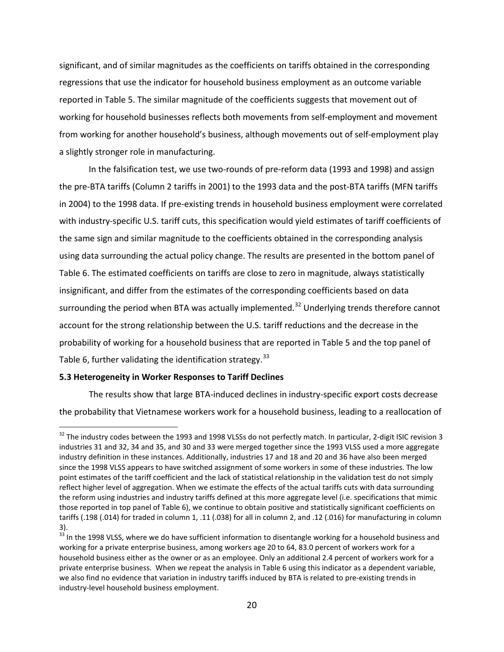significant, and of similar magnitudes as the coefficients on tariffs obtained in the corresponding regressions that use the indicator for household business employment as an outcome variable reported in Table 5. The similar magnitude of the coefficients suggests that movement out of working for household businesses reflects both movements from self-employment and movement from working for another household's business, although movements out of self-employment play a slightly stronger role in manufacturing.

In the falsification test, we use two-rounds of pre-reform data (1993 and 1998) and assign the pre-BTA tariffs (Column 2 tariffs in 2001) to the 1993 data and the post-BTA tariffs (MFN tariffs in 2004) to the 1998 data. If pre-existing trends in household business employment were correlated with industry-specific U.S. tariff cuts, this specification would yield estimates of tariff coefficients of the same sign and similar magnitude to the coefficients obtained in the corresponding analysis using data surrounding the actual policy change. The results are presented in the bottom panel of Table 6. The estimated coefficients on tariffs are close to zero in magnitude, always statistically insignificant, and differ from the estimates of the corresponding coefficients based on data surrounding the period when BTA was actually implemented.<sup>[32](#page-19-0)</sup> Underlying trends therefore cannot account for the strong relationship between the U.S. tariff reductions and the decrease in the probability of working for a household business that are reported in Table 5 and the top panel of Table 6, further validating the identification strategy.<sup>[33](#page-19-1)</sup>

## **5.3 Heterogeneity in Worker Responses to Tariff Declines**

The results show that large BTA-induced declines in industry-specific export costs decrease the probability that Vietnamese workers work for a household business, leading to a reallocation of

<span id="page-19-0"></span><sup>&</sup>lt;sup>32</sup> The industry codes between the 1993 and 1998 VLSSs do not perfectly match. In particular, 2-digit ISIC revision 3 industries 31 and 32, 34 and 35, and 30 and 33 were merged together since the 1993 VLSS used a more aggregate industry definition in these instances. Additionally, industries 17 and 18 and 20 and 36 have also been merged since the 1998 VLSS appears to have switched assignment of some workers in some of these industries. The low point estimates of the tariff coefficient and the lack of statistical relationship in the validation test do not simply reflect higher level of aggregation. When we estimate the effects of the actual tariffs cuts with data surrounding the reform using industries and industry tariffs defined at this more aggregate level (i.e. specifications that mimic those reported in top panel of Table 6), we continue to obtain positive and statistically significant coefficients on tariffs (.198 (.014) for traded in column 1, .11 (.038) for all in column 2, and .12 (.016) for manufacturing in column 3).

<span id="page-19-1"></span> $33$  In the 1998 VLSS, where we do have sufficient information to disentangle working for a household business and working for a private enterprise business, among workers age 20 to 64, 83.0 percent of workers work for a household business either as the owner or as an employee. Only an additional 2.4 percent of workers work for a private enterprise business. When we repeat the analysis in Table 6 using this indicator as a dependent variable, we also find no evidence that variation in industry tariffs induced by BTA is related to pre-existing trends in industry-level household business employment.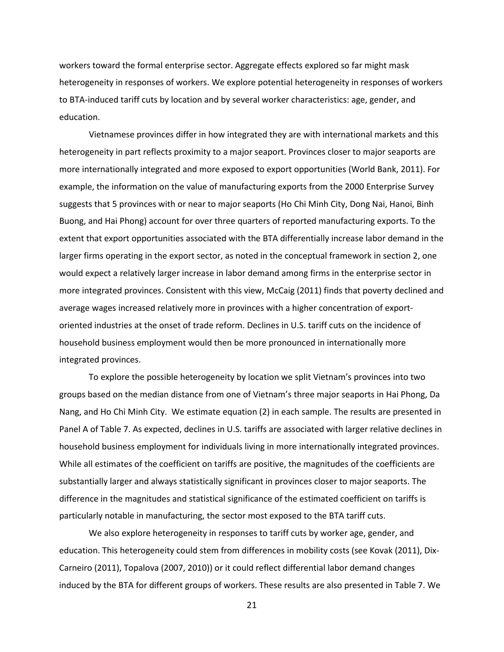workers toward the formal enterprise sector. Aggregate effects explored so far might mask heterogeneity in responses of workers. We explore potential heterogeneity in responses of workers to BTA-induced tariff cuts by location and by several worker characteristics: age, gender, and education.

Vietnamese provinces differ in how integrated they are with international markets and this heterogeneity in part reflects proximity to a major seaport. Provinces closer to major seaports are more internationally integrated and more exposed to export opportunities (World Bank, 2011). For example, the information on the value of manufacturing exports from the 2000 Enterprise Survey suggests that 5 provinces with or near to major seaports (Ho Chi Minh City, Dong Nai, Hanoi, Binh Buong, and Hai Phong) account for over three quarters of reported manufacturing exports. To the extent that export opportunities associated with the BTA differentially increase labor demand in the larger firms operating in the export sector, as noted in the conceptual framework in section 2, one would expect a relatively larger increase in labor demand among firms in the enterprise sector in more integrated provinces. Consistent with this view, McCaig (2011) finds that poverty declined and average wages increased relatively more in provinces with a higher concentration of exportoriented industries at the onset of trade reform. Declines in U.S. tariff cuts on the incidence of household business employment would then be more pronounced in internationally more integrated provinces.

To explore the possible heterogeneity by location we split Vietnam's provinces into two groups based on the median distance from one of Vietnam's three major seaports in Hai Phong, Da Nang, and Ho Chi Minh City. We estimate equation (2) in each sample. The results are presented in Panel A of Table 7. As expected, declines in U.S. tariffs are associated with larger relative declines in household business employment for individuals living in more internationally integrated provinces. While all estimates of the coefficient on tariffs are positive, the magnitudes of the coefficients are substantially larger and always statistically significant in provinces closer to major seaports. The difference in the magnitudes and statistical significance of the estimated coefficient on tariffs is particularly notable in manufacturing, the sector most exposed to the BTA tariff cuts.

We also explore heterogeneity in responses to tariff cuts by worker age, gender, and education. This heterogeneity could stem from differences in mobility costs (see Kovak (2011), Dix-Carneiro (2011), Topalova (2007, 2010)) or it could reflect differential labor demand changes induced by the BTA for different groups of workers. These results are also presented in Table 7. We

21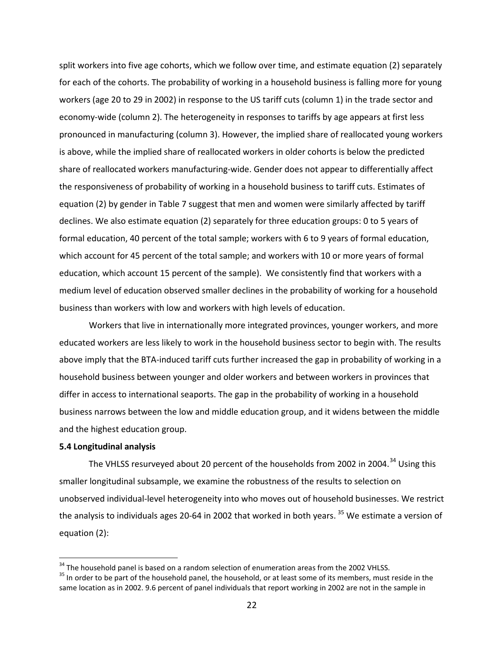split workers into five age cohorts, which we follow over time, and estimate equation (2) separately for each of the cohorts. The probability of working in a household business is falling more for young workers (age 20 to 29 in 2002) in response to the US tariff cuts (column 1) in the trade sector and economy-wide (column 2). The heterogeneity in responses to tariffs by age appears at first less pronounced in manufacturing (column 3). However, the implied share of reallocated young workers is above, while the implied share of reallocated workers in older cohorts is below the predicted share of reallocated workers manufacturing-wide. Gender does not appear to differentially affect the responsiveness of probability of working in a household business to tariff cuts. Estimates of equation (2) by gender in Table 7 suggest that men and women were similarly affected by tariff declines. We also estimate equation (2) separately for three education groups: 0 to 5 years of formal education, 40 percent of the total sample; workers with 6 to 9 years of formal education, which account for 45 percent of the total sample; and workers with 10 or more years of formal education, which account 15 percent of the sample). We consistently find that workers with a medium level of education observed smaller declines in the probability of working for a household business than workers with low and workers with high levels of education.

Workers that live in internationally more integrated provinces, younger workers, and more educated workers are less likely to work in the household business sector to begin with. The results above imply that the BTA-induced tariff cuts further increased the gap in probability of working in a household business between younger and older workers and between workers in provinces that differ in access to international seaports. The gap in the probability of working in a household business narrows between the low and middle education group, and it widens between the middle and the highest education group.

### **5.4 Longitudinal analysis**

The VHLSS resurveyed about 20 percent of the households from 2002 in 2004.<sup>[34](#page-21-0)</sup> Using this smaller longitudinal subsample, we examine the robustness of the results to selection on unobserved individual-level heterogeneity into who moves out of household businesses. We restrict the analysis to individuals ages 20-64 in 2002 that worked in both vears. <sup>[35](#page-21-1)</sup> We estimate a version of equation (2):

<span id="page-21-1"></span><span id="page-21-0"></span> $34$  The household panel is based on a random selection of enumeration areas from the 2002 VHLSS.<br><sup>35</sup> In order to be part of the household panel, the household, or at least some of its members, must reside in the same location as in 2002. 9.6 percent of panel individuals that report working in 2002 are not in the sample in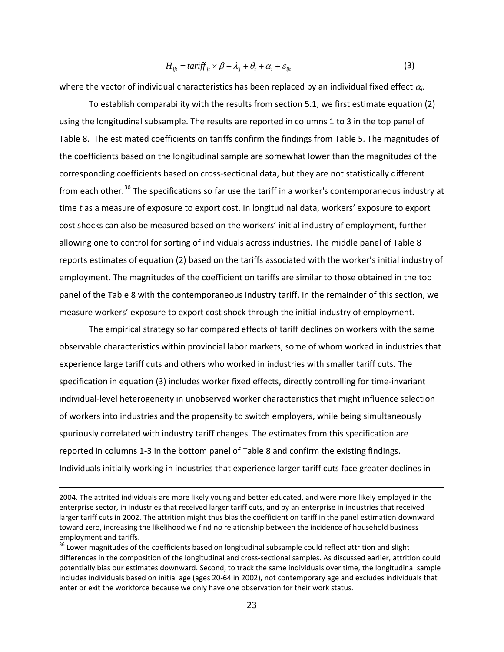$$
H_{ijt} = \text{tariff}_{jt} \times \beta + \lambda_j + \theta_t + \alpha_i + \varepsilon_{ijt}
$$
 (3)

where the vector of individual characteristics has been replaced by an individual fixed effect <sup>α</sup>*i*.

To establish comparability with the results from section 5.1, we first estimate equation (2) using the longitudinal subsample. The results are reported in columns 1 to 3 in the top panel of Table 8. The estimated coefficients on tariffs confirm the findings from Table 5. The magnitudes of the coefficients based on the longitudinal sample are somewhat lower than the magnitudes of the corresponding coefficients based on cross-sectional data, but they are not statistically different from each other.<sup>[36](#page-22-0)</sup> The specifications so far use the tariff in a worker's contemporaneous industry at time *t* as a measure of exposure to export cost. In longitudinal data, workers' exposure to export cost shocks can also be measured based on the workers' initial industry of employment, further allowing one to control for sorting of individuals across industries. The middle panel of Table 8 reports estimates of equation (2) based on the tariffs associated with the worker's initial industry of employment. The magnitudes of the coefficient on tariffs are similar to those obtained in the top panel of the Table 8 with the contemporaneous industry tariff. In the remainder of this section, we measure workers' exposure to export cost shock through the initial industry of employment.

The empirical strategy so far compared effects of tariff declines on workers with the same observable characteristics within provincial labor markets, some of whom worked in industries that experience large tariff cuts and others who worked in industries with smaller tariff cuts. The specification in equation (3) includes worker fixed effects, directly controlling for time-invariant individual-level heterogeneity in unobserved worker characteristics that might influence selection of workers into industries and the propensity to switch employers, while being simultaneously spuriously correlated with industry tariff changes. The estimates from this specification are reported in columns 1-3 in the bottom panel of Table 8 and confirm the existing findings. Individuals initially working in industries that experience larger tariff cuts face greater declines in

 $\overline{a}$ 

<sup>2004.</sup> The attrited individuals are more likely young and better educated, and were more likely employed in the enterprise sector, in industries that received larger tariff cuts, and by an enterprise in industries that received larger tariff cuts in 2002. The attrition might thus bias the coefficient on tariff in the panel estimation downward toward zero, increasing the likelihood we find no relationship between the incidence of household business employment and tariffs.

<span id="page-22-0"></span><sup>&</sup>lt;sup>36</sup> Lower magnitudes of the coefficients based on longitudinal subsample could reflect attrition and slight differences in the composition of the longitudinal and cross-sectional samples. As discussed earlier, attrition could potentially bias our estimates downward. Second, to track the same individuals over time, the longitudinal sample includes individuals based on initial age (ages 20-64 in 2002), not contemporary age and excludes individuals that enter or exit the workforce because we only have one observation for their work status.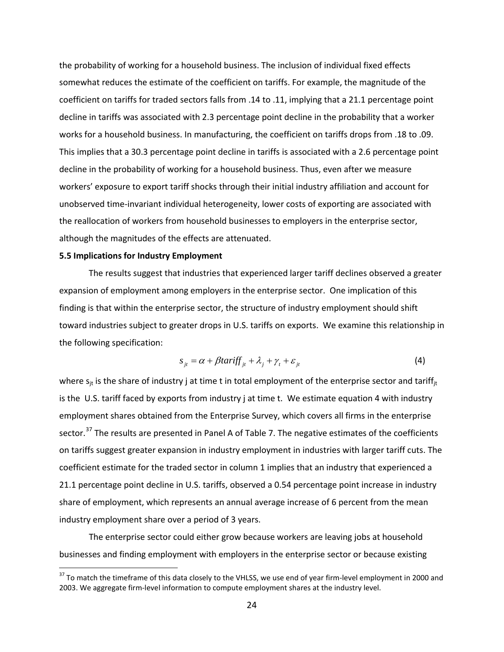the probability of working for a household business. The inclusion of individual fixed effects somewhat reduces the estimate of the coefficient on tariffs. For example, the magnitude of the coefficient on tariffs for traded sectors falls from .14 to .11, implying that a 21.1 percentage point decline in tariffs was associated with 2.3 percentage point decline in the probability that a worker works for a household business. In manufacturing, the coefficient on tariffs drops from .18 to .09. This implies that a 30.3 percentage point decline in tariffs is associated with a 2.6 percentage point decline in the probability of working for a household business. Thus, even after we measure workers' exposure to export tariff shocks through their initial industry affiliation and account for unobserved time-invariant individual heterogeneity, lower costs of exporting are associated with the reallocation of workers from household businesses to employers in the enterprise sector, although the magnitudes of the effects are attenuated.

#### **5.5 Implications for Industry Employment**

The results suggest that industries that experienced larger tariff declines observed a greater expansion of employment among employers in the enterprise sector. One implication of this finding is that within the enterprise sector, the structure of industry employment should shift toward industries subject to greater drops in U.S. tariffs on exports. We examine this relationship in the following specification:

$$
s_{ji} = \alpha + \beta \tan \text{iff}_{j} + \lambda_j + \gamma_t + \varepsilon_{jt} \tag{4}
$$

where  $s_{it}$  is the share of industry j at time t in total employment of the enterprise sector and tariff<sub>it</sub> is the U.S. tariff faced by exports from industry j at time t. We estimate equation 4 with industry employment shares obtained from the Enterprise Survey, which covers all firms in the enterprise sector.<sup>[37](#page-23-0)</sup> The results are presented in Panel A of Table 7. The negative estimates of the coefficients on tariffs suggest greater expansion in industry employment in industries with larger tariff cuts. The coefficient estimate for the traded sector in column 1 implies that an industry that experienced a 21.1 percentage point decline in U.S. tariffs, observed a 0.54 percentage point increase in industry share of employment, which represents an annual average increase of 6 percent from the mean industry employment share over a period of 3 years.

The enterprise sector could either grow because workers are leaving jobs at household businesses and finding employment with employers in the enterprise sector or because existing

<span id="page-23-0"></span><sup>&</sup>lt;sup>37</sup> To match the timeframe of this data closely to the VHLSS, we use end of year firm-level employment in 2000 and 2003. We aggregate firm-level information to compute employment shares at the industry level.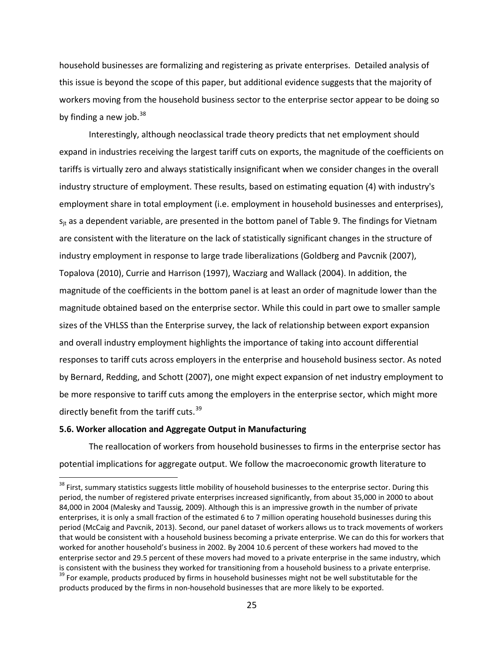household businesses are formalizing and registering as private enterprises. Detailed analysis of this issue is beyond the scope of this paper, but additional evidence suggests that the majority of workers moving from the household business sector to the enterprise sector appear to be doing so by finding a new job. $^{38}$  $^{38}$  $^{38}$ 

Interestingly, although neoclassical trade theory predicts that net employment should expand in industries receiving the largest tariff cuts on exports, the magnitude of the coefficients on tariffs is virtually zero and always statistically insignificant when we consider changes in the overall industry structure of employment. These results, based on estimating equation (4) with industry's employment share in total employment (i.e. employment in household businesses and enterprises),  $s_{it}$  as a dependent variable, are presented in the bottom panel of Table 9. The findings for Vietnam are consistent with the literature on the lack of statistically significant changes in the structure of industry employment in response to large trade liberalizations (Goldberg and Pavcnik (2007), Topalova (2010), Currie and Harrison (1997), Wacziarg and Wallack (2004). In addition, the magnitude of the coefficients in the bottom panel is at least an order of magnitude lower than the magnitude obtained based on the enterprise sector. While this could in part owe to smaller sample sizes of the VHLSS than the Enterprise survey, the lack of relationship between export expansion and overall industry employment highlights the importance of taking into account differential responses to tariff cuts across employers in the enterprise and household business sector. As noted by Bernard, Redding, and Schott (2007), one might expect expansion of net industry employment to be more responsive to tariff cuts among the employers in the enterprise sector, which might more directly benefit from the tariff cuts.<sup>[39](#page-24-1)</sup>

### **5.6. Worker allocation and Aggregate Output in Manufacturing**

The reallocation of workers from household businesses to firms in the enterprise sector has potential implications for aggregate output. We follow the macroeconomic growth literature to

<span id="page-24-1"></span><span id="page-24-0"></span><sup>&</sup>lt;sup>38</sup> First, summary statistics suggests little mobility of household businesses to the enterprise sector. During this period, the number of registered private enterprises increased significantly, from about 35,000 in 2000 to about 84,000 in 2004 (Malesky and Taussig, 2009). Although this is an impressive growth in the number of private enterprises, it is only a small fraction of the estimated 6 to 7 million operating household businesses during this period (McCaig and Pavcnik, 2013). Second, our panel dataset of workers allows us to track movements of workers that would be consistent with a household business becoming a private enterprise. We can do this for workers that worked for another household's business in 2002. By 2004 10.6 percent of these workers had moved to the enterprise sector and 29.5 percent of these movers had moved to a private enterprise in the same industry, which is consistent with the business they worked for transitioning from a household business to a private enterprise.  $39$  For example, products produced by firms in household businesses might not be well substitutable for the products produced by the firms in non-household businesses that are more likely to be exported.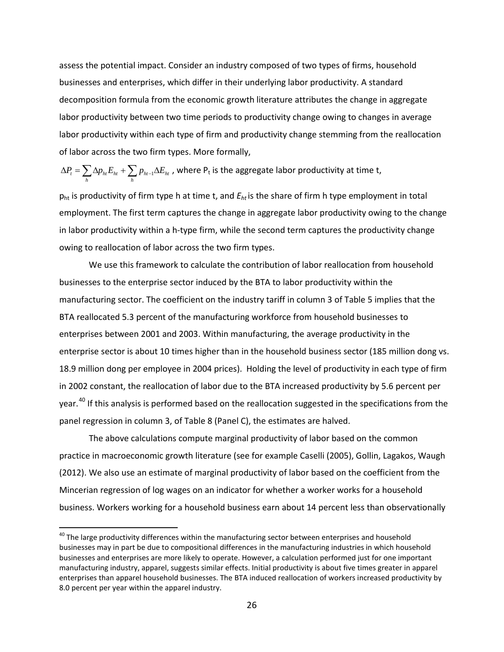assess the potential impact. Consider an industry composed of two types of firms, household businesses and enterprises, which differ in their underlying labor productivity. A standard decomposition formula from the economic growth literature attributes the change in aggregate labor productivity between two time periods to productivity change owing to changes in average labor productivity within each type of firm and productivity change stemming from the reallocation of labor across the two firm types. More formally,

 $\Delta P_{t} = \sum_h \Delta p_{_{ht}} E_{_{ht}} + \sum_h p_{_{ht-1}} \Delta E_{_{ht}}$  , where  $\mathsf{P_{t}}$  is the aggregate labor productivity at time t,

pht is productivity of firm type h at time t, and *Eht* is the share of firm h type employment in total employment. The first term captures the change in aggregate labor productivity owing to the change in labor productivity within a h-type firm, while the second term captures the productivity change owing to reallocation of labor across the two firm types.

We use this framework to calculate the contribution of labor reallocation from household businesses to the enterprise sector induced by the BTA to labor productivity within the manufacturing sector. The coefficient on the industry tariff in column 3 of Table 5 implies that the BTA reallocated 5.3 percent of the manufacturing workforce from household businesses to enterprises between 2001 and 2003. Within manufacturing, the average productivity in the enterprise sector is about 10 times higher than in the household business sector (185 million dong vs. 18.9 million dong per employee in 2004 prices). Holding the level of productivity in each type of firm in 2002 constant, the reallocation of labor due to the BTA increased productivity by 5.6 percent per year.<sup>[40](#page-25-0)</sup> If this analysis is performed based on the reallocation suggested in the specifications from the panel regression in column 3, of Table 8 (Panel C), the estimates are halved.

The above calculations compute marginal productivity of labor based on the common practice in macroeconomic growth literature (see for example Caselli (2005), Gollin, Lagakos, Waugh (2012). We also use an estimate of marginal productivity of labor based on the coefficient from the Mincerian regression of log wages on an indicator for whether a worker works for a household business. Workers working for a household business earn about 14 percent less than observationally

<span id="page-25-0"></span> $40$  The large productivity differences within the manufacturing sector between enterprises and household businesses may in part be due to compositional differences in the manufacturing industries in which household businesses and enterprises are more likely to operate. However, a calculation performed just for one important manufacturing industry, apparel, suggests similar effects. Initial productivity is about five times greater in apparel enterprises than apparel household businesses. The BTA induced reallocation of workers increased productivity by 8.0 percent per year within the apparel industry.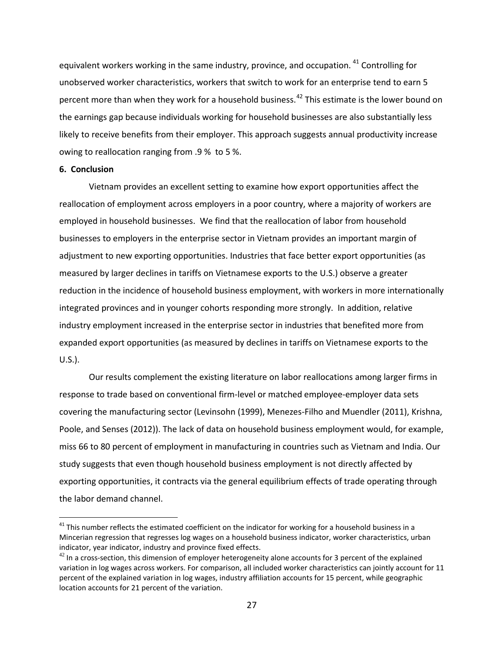equivalent workers working in the same industry, province, and occupation. <sup>[41](#page-26-0)</sup> Controlling for unobserved worker characteristics, workers that switch to work for an enterprise tend to earn 5 percent more than when they work for a household business.<sup>[42](#page-26-1)</sup> This estimate is the lower bound on the earnings gap because individuals working for household businesses are also substantially less likely to receive benefits from their employer. This approach suggests annual productivity increase owing to reallocation ranging from .9 % to 5 %.

#### **6. Conclusion**

Vietnam provides an excellent setting to examine how export opportunities affect the reallocation of employment across employers in a poor country, where a majority of workers are employed in household businesses. We find that the reallocation of labor from household businesses to employers in the enterprise sector in Vietnam provides an important margin of adjustment to new exporting opportunities. Industries that face better export opportunities (as measured by larger declines in tariffs on Vietnamese exports to the U.S.) observe a greater reduction in the incidence of household business employment, with workers in more internationally integrated provinces and in younger cohorts responding more strongly. In addition, relative industry employment increased in the enterprise sector in industries that benefited more from expanded export opportunities (as measured by declines in tariffs on Vietnamese exports to the U.S.).

Our results complement the existing literature on labor reallocations among larger firms in response to trade based on conventional firm-level or matched employee-employer data sets covering the manufacturing sector (Levinsohn (1999), Menezes-Filho and Muendler (2011), Krishna, Poole, and Senses (2012)). The lack of data on household business employment would, for example, miss 66 to 80 percent of employment in manufacturing in countries such as Vietnam and India. Our study suggests that even though household business employment is not directly affected by exporting opportunities, it contracts via the general equilibrium effects of trade operating through the labor demand channel.

<span id="page-26-0"></span> $41$  This number reflects the estimated coefficient on the indicator for working for a household business in a Mincerian regression that regresses log wages on a household business indicator, worker characteristics, urban indicator, year indicator, industry and province fixed effects.

<span id="page-26-1"></span> $42$  In a cross-section, this dimension of employer heterogeneity alone accounts for 3 percent of the explained variation in log wages across workers. For comparison, all included worker characteristics can jointly account for 11 percent of the explained variation in log wages, industry affiliation accounts for 15 percent, while geographic location accounts for 21 percent of the variation.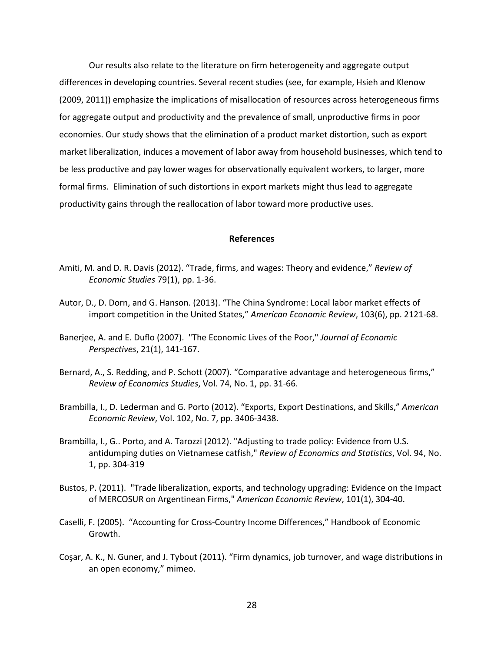Our results also relate to the literature on firm heterogeneity and aggregate output differences in developing countries. Several recent studies (see, for example, Hsieh and Klenow (2009, 2011)) emphasize the implications of misallocation of resources across heterogeneous firms for aggregate output and productivity and the prevalence of small, unproductive firms in poor economies. Our study shows that the elimination of a product market distortion, such as export market liberalization, induces a movement of labor away from household businesses, which tend to be less productive and pay lower wages for observationally equivalent workers, to larger, more formal firms. Elimination of such distortions in export markets might thus lead to aggregate productivity gains through the reallocation of labor toward more productive uses.

#### **References**

- Amiti, M. and D. R. Davis (2012). "Trade, firms, and wages: Theory and evidence," *Review of Economic Studies* 79(1), pp. 1-36.
- Autor, D., D. Dorn, and G. Hanson. (2013). "The China Syndrome: Local labor market effects of import competition in the United States," *American Economic Review*, 103(6), pp. 2121-68.
- Banerjee, A. and E. Duflo (2007). "The Economic Lives of the Poor," *Journal of Economic Perspectives*, 21(1), 141-167.
- Bernard, A., S. Redding, and P. Schott (2007). "Comparative advantage and heterogeneous firms," *Review of Economics Studies*, Vol. 74, No. 1, pp. 31-66.
- Brambilla, I., D. Lederman and G. Porto (2012). "Exports, Export Destinations, and Skills," *American Economic Review*, Vol. 102, No. 7, pp. 3406-3438.
- Brambilla, I., G.. Porto, and A. Tarozzi (2012). "Adjusting to trade policy: Evidence from U.S. antidumping duties on Vietnamese catfish," *Review of Economics and Statistics*, Vol. 94, No. 1, pp. 304-319
- Bustos, P. (2011). "Trade liberalization, exports, and technology upgrading: Evidence on the Impact of MERCOSUR on Argentinean Firms," *American Economic Review*, 101(1), 304-40.
- Caselli, F. (2005). "Accounting for Cross-Country Income Differences," Handbook of Economic Growth.
- Coşar, A. K., N. Guner, and J. Tybout (2011). "Firm dynamics, job turnover, and wage distributions in an open economy," mimeo.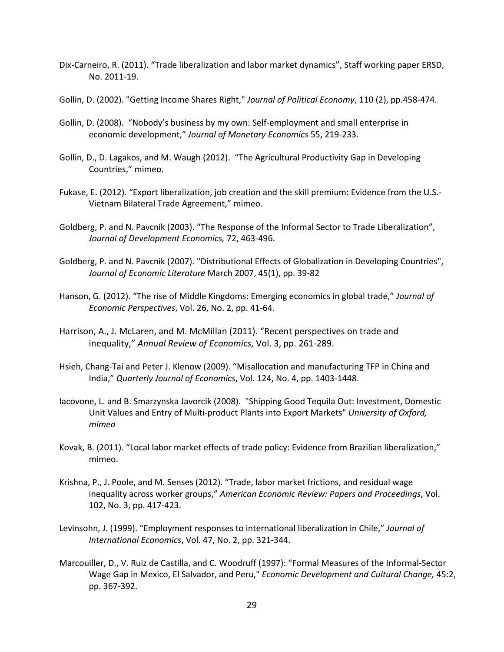- Dix-Carneiro, R. (2011). "Trade liberalization and labor market dynamics", Staff working paper ERSD, No. 2011-19.
- Gollin, D. (2002). "Getting Income Shares Right," *Journal of Political Economy*, 110 (2), pp.458-474.
- Gollin, D. (2008). "Nobody's business by my own: Self-employment and small enterprise in economic development," *Journal of Monetary Economics* 55, 219-233.
- Gollin, D., D. Lagakos, and M. Waugh (2012). "The Agricultural Productivity Gap in Developing Countries," mimeo.
- Fukase, E. (2012). "Export liberalization, job creation and the skill premium: Evidence from the U.S.- Vietnam Bilateral Trade Agreement," mimeo.
- Goldberg, P. and N. Pavcnik (2003). "The Response of the Informal Sector to Trade Liberalization", *Journal of Development Economics,* 72, 463-496.
- Goldberg, P. and N. Pavcnik (2007). "Distributional Effects of Globalization in Developing Countries", *Journal of Economic Literature* March 2007, 45(1), pp. 39-82
- Hanson, G. (2012). "The rise of Middle Kingdoms: Emerging economics in global trade," *Journal of Economic Perspectives*, Vol. 26, No. 2, pp. 41-64.
- Harrison, A., J. McLaren, and M. McMillan (2011). "Recent perspectives on trade and inequality," *Annual Review of Economics*, Vol. 3, pp. 261-289.
- Hsieh, Chang-Tai and Peter J. Klenow (2009). "Misallocation and manufacturing TFP in China and India," *Quarterly Journal of Economics*, Vol. 124, No. 4, pp. 1403-1448.
- Iacovone, L. and B. Smarzynska Javorcik (2008). "Shipping Good Tequila Out: Investment, Domestic Unit Values and Entry of Multi-product Plants into Export Markets" *University of Oxford, mimeo*
- Kovak, B. (2011). "Local labor market effects of trade policy: Evidence from Brazilian liberalization," mimeo.
- Krishna, P., J. Poole, and M. Senses (2012). "Trade, labor market frictions, and residual wage inequality across worker groups," *American Economic Review: Papers and Proceedings*, Vol. 102, No. 3, pp. 417-423.
- Levinsohn, J. (1999). "Employment responses to international liberalization in Chile," *Journal of International Economics*, Vol. 47, No. 2, pp. 321-344.
- Marcouiller, D., V. Ruiz de Castilla, and C. Woodruff (1997): "Formal Measures of the Informal-Sector Wage Gap in Mexico, El Salvador, and Peru," *Economic Development and Cultural Change,* 45:2, pp. 367-392.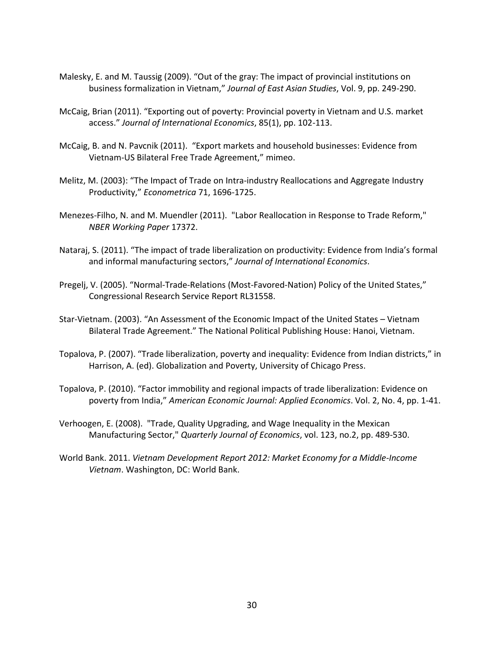- Malesky, E. and M. Taussig (2009). "Out of the gray: The impact of provincial institutions on business formalization in Vietnam," *Journal of East Asian Studies*, Vol. 9, pp. 249-290.
- McCaig, Brian (2011). "Exporting out of poverty: Provincial poverty in Vietnam and U.S. market access." *Journal of International Economics*, 85(1), pp. 102-113.
- McCaig, B. and N. Pavcnik (2011). "Export markets and household businesses: Evidence from Vietnam-US Bilateral Free Trade Agreement," mimeo.
- Melitz, M. (2003): "The Impact of Trade on Intra-industry Reallocations and Aggregate Industry Productivity," *Econometrica* 71, 1696-1725.
- Menezes-Filho, N. and M. Muendler (2011). "Labor Reallocation in Response to Trade Reform," *NBER Working Paper* 17372.
- Nataraj, S. (2011). "The impact of trade liberalization on productivity: Evidence from India's formal and informal manufacturing sectors," *Journal of International Economics*.
- Pregelj, V. (2005). "Normal-Trade-Relations (Most-Favored-Nation) Policy of the United States," Congressional Research Service Report RL31558.
- Star-Vietnam. (2003). "An Assessment of the Economic Impact of the United States Vietnam Bilateral Trade Agreement." The National Political Publishing House: Hanoi, Vietnam.
- Topalova, P. (2007). "Trade liberalization, poverty and inequality: Evidence from Indian districts," in Harrison, A. (ed). Globalization and Poverty, University of Chicago Press.
- Topalova, P. (2010). "Factor immobility and regional impacts of trade liberalization: Evidence on poverty from India," *American Economic Journal: Applied Economics*. Vol. 2, No. 4, pp. 1-41.
- Verhoogen, E. (2008). "Trade, Quality Upgrading, and Wage Inequality in the Mexican Manufacturing Sector," *Quarterly Journal of Economics*, vol. 123, no.2, pp. 489-530.
- World Bank. 2011. *Vietnam Development Report 2012: Market Economy for a Middle-Income Vietnam*. Washington, DC: World Bank.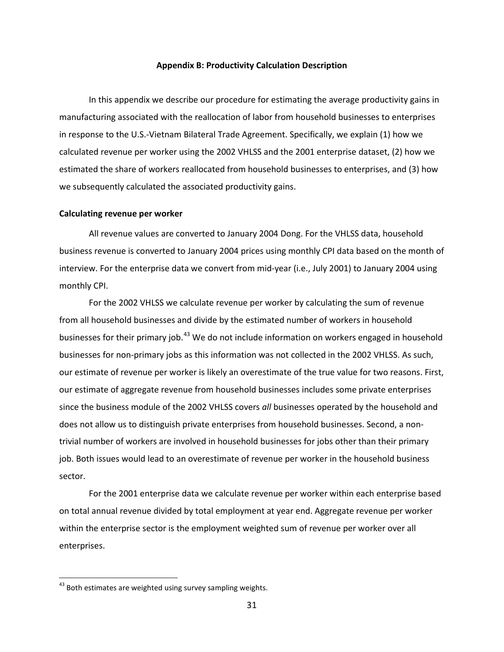#### **Appendix B: Productivity Calculation Description**

In this appendix we describe our procedure for estimating the average productivity gains in manufacturing associated with the reallocation of labor from household businesses to enterprises in response to the U.S.-Vietnam Bilateral Trade Agreement. Specifically, we explain (1) how we calculated revenue per worker using the 2002 VHLSS and the 2001 enterprise dataset, (2) how we estimated the share of workers reallocated from household businesses to enterprises, and (3) how we subsequently calculated the associated productivity gains.

### **Calculating revenue per worker**

All revenue values are converted to January 2004 Dong. For the VHLSS data, household business revenue is converted to January 2004 prices using monthly CPI data based on the month of interview. For the enterprise data we convert from mid-year (i.e., July 2001) to January 2004 using monthly CPI.

For the 2002 VHLSS we calculate revenue per worker by calculating the sum of revenue from all household businesses and divide by the estimated number of workers in household businesses for their primary job.<sup>[43](#page-30-0)</sup> We do not include information on workers engaged in household businesses for non-primary jobs as this information was not collected in the 2002 VHLSS. As such, our estimate of revenue per worker is likely an overestimate of the true value for two reasons. First, our estimate of aggregate revenue from household businesses includes some private enterprises since the business module of the 2002 VHLSS covers *all* businesses operated by the household and does not allow us to distinguish private enterprises from household businesses. Second, a nontrivial number of workers are involved in household businesses for jobs other than their primary job. Both issues would lead to an overestimate of revenue per worker in the household business sector.

For the 2001 enterprise data we calculate revenue per worker within each enterprise based on total annual revenue divided by total employment at year end. Aggregate revenue per worker within the enterprise sector is the employment weighted sum of revenue per worker over all enterprises.

<span id="page-30-0"></span> $43$  Both estimates are weighted using survey sampling weights.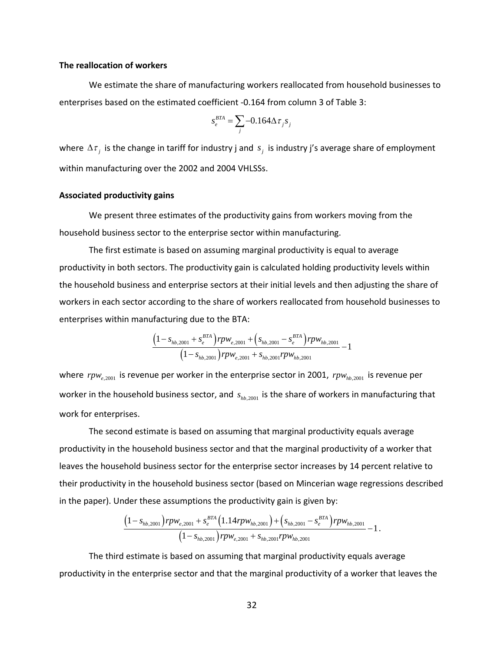### **The reallocation of workers**

We estimate the share of manufacturing workers reallocated from household businesses to enterprises based on the estimated coefficient -0.164 from column 3 of Table 3:

$$
s_e^{BTA} = \sum_j -0.164 \Delta \tau_j s_j
$$

where  $\Delta \tau_j$  is the change in tariff for industry j and  $s_j$  is industry j's average share of employment within manufacturing over the 2002 and 2004 VHLSSs.

#### **Associated productivity gains**

We present three estimates of the productivity gains from workers moving from the household business sector to the enterprise sector within manufacturing.

The first estimate is based on assuming marginal productivity is equal to average productivity in both sectors. The productivity gain is calculated holding productivity levels within the household business and enterprise sectors at their initial levels and then adjusting the share of workers in each sector according to the share of workers reallocated from household businesses to enterprises within manufacturing due to the BTA:

$$
\frac{\left(1 - s_{hb,2001} + s_e^{BTA}\right)rpw_{e,2001} + \left(s_{hb,2001} - s_e^{BTA}\right)rpw_{hb,2001}}{\left(1 - s_{hb,2001}\right)rpw_{e,2001} + s_{hb,2001}rpw_{hb,2001}} - 1
$$

where  $rpw_{e,2001}$  is revenue per worker in the enterprise sector in 2001,  $rpw_{hb,2001}$  is revenue per worker in the household business sector, and  $s_{hb,2001}$  is the share of workers in manufacturing that work for enterprises.

The second estimate is based on assuming that marginal productivity equals average productivity in the household business sector and that the marginal productivity of a worker that leaves the household business sector for the enterprise sector increases by 14 percent relative to their productivity in the household business sector (based on Mincerian wage regressions described in the paper). Under these assumptions the productivity gain is given by:

$$
\frac{\left(1 - s_{hb,2001}\right)rpw_{e,2001} + s_e^{BTA}\left(1.14rpw_{hb,2001}\right) + \left(s_{hb,2001} - s_e^{BTA}\right)rpw_{hb,2001}}{\left(1 - s_{hb,2001}\right)rpw_{e,2001} + s_{hb,2001}rpw_{hb,2001}} - 1.
$$

The third estimate is based on assuming that marginal productivity equals average productivity in the enterprise sector and that the marginal productivity of a worker that leaves the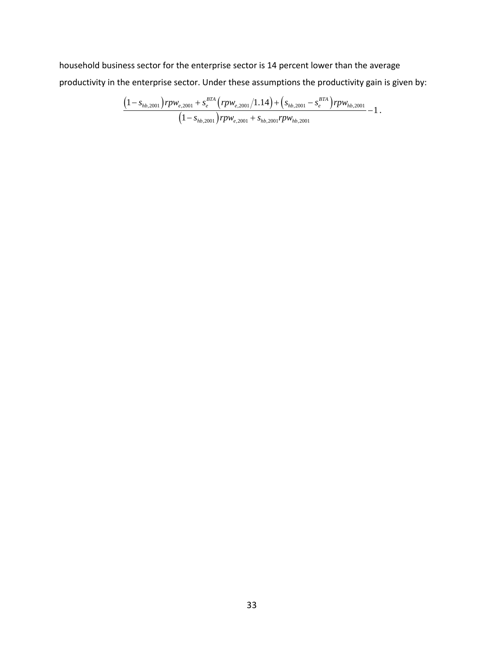household business sector for the enterprise sector is 14 percent lower than the average productivity in the enterprise sector. Under these assumptions the productivity gain is given by:

$$
\frac{\left(1 - s_{hb,2001}\right)rpw_{e,2001} + s_e^{BTA}\left(rpw_{e,2001}/1.14\right) + \left(s_{hb,2001} - s_e^{BTA}\right)rpw_{hb,2001}}{\left(1 - s_{hb,2001}\right)rpw_{e,2001} + s_{hb,2001}rpw_{hb,2001}} - 1.
$$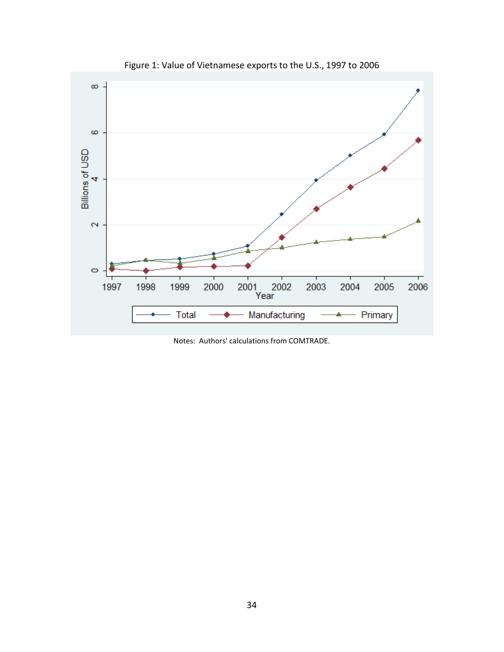

Figure 1: Value of Vietnamese exports to the U.S., 1997 to 2006

Notes: Authors' calculations from COMTRADE.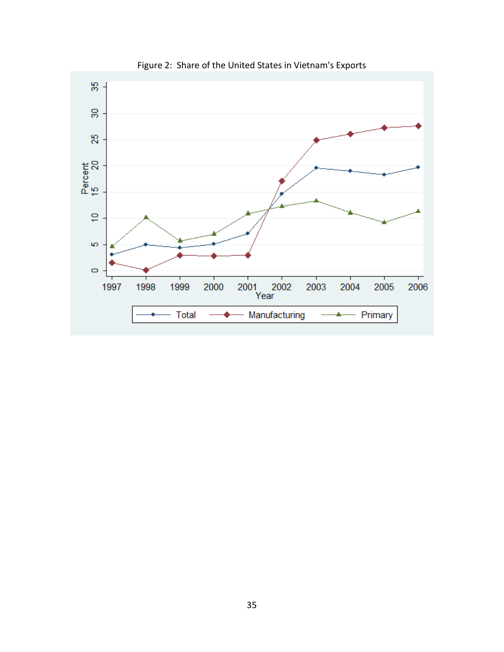

Figure 2: Share of the United States in Vietnam's Exports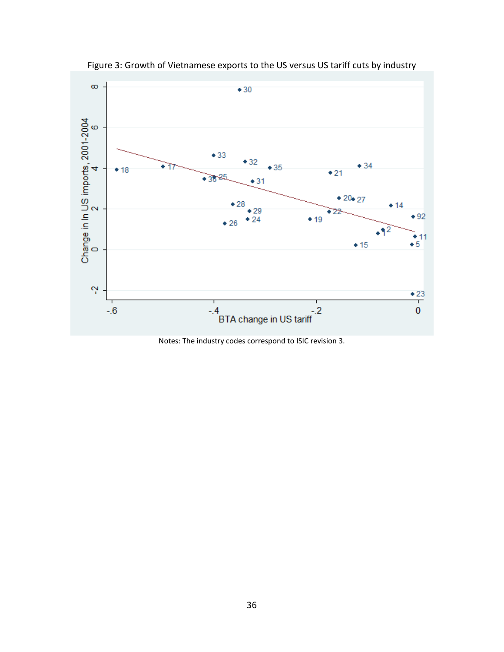

Figure 3: Growth of Vietnamese exports to the US versus US tariff cuts by industry

Notes: The industry codes correspond to ISIC revision 3.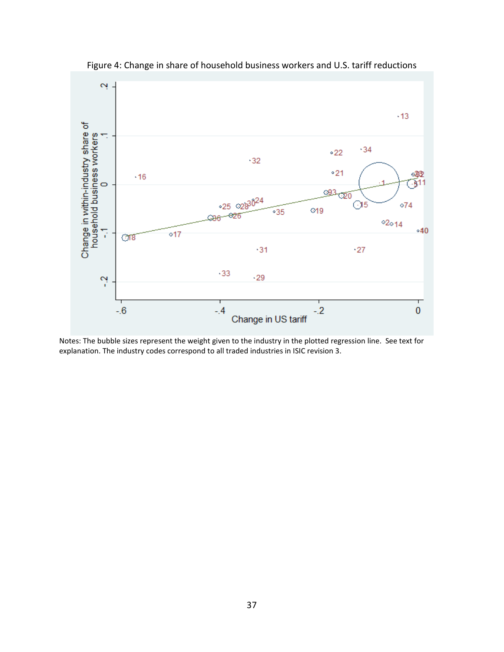

Figure 4: Change in share of household business workers and U.S. tariff reductions

Notes: The bubble sizes represent the weight given to the industry in the plotted regression line. See text for explanation. The industry codes correspond to all traded industries in ISIC revision 3.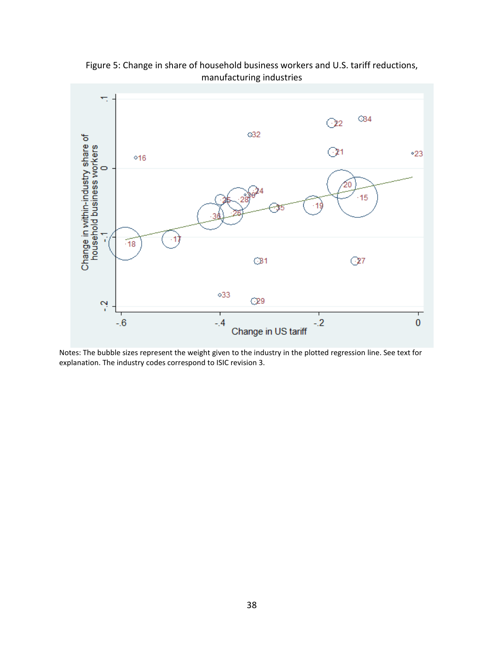

Figure 5: Change in share of household business workers and U.S. tariff reductions, manufacturing industries

Notes: The bubble sizes represent the weight given to the industry in the plotted regression line. See text for explanation. The industry codes correspond to ISIC revision 3.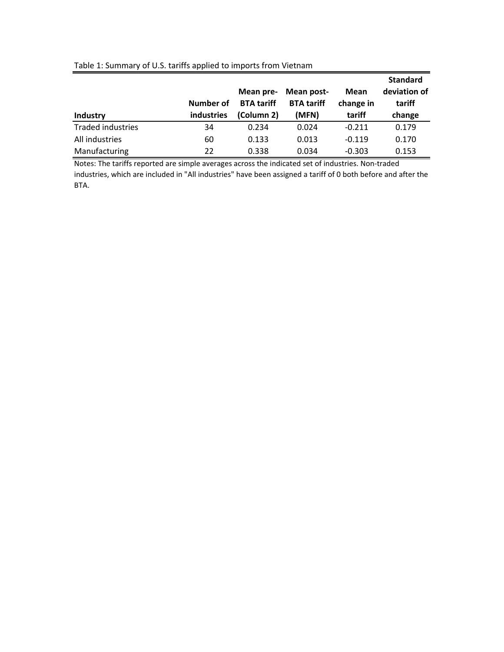|                   |                   | Mean pre-         | Mean post-        | Mean      | <b>Standard</b><br>deviation of |
|-------------------|-------------------|-------------------|-------------------|-----------|---------------------------------|
|                   | Number of         | <b>BTA</b> tariff | <b>BTA</b> tariff | change in | tariff                          |
| Industry          | <b>industries</b> | (Column 2)        | (MFN)             | tariff    | change                          |
| Traded industries | 34                | 0.234             | 0.024             | $-0.211$  | 0.179                           |
| All industries    | 60                | 0.133             | 0.013             | $-0.119$  | 0.170                           |
| Manufacturing     | 22                | 0.338             | 0.034             | $-0.303$  | 0.153                           |

## Table 1: Summary of U.S. tariffs applied to imports from Vietnam

Notes: The tariffs reported are simple averages across the indicated set of industries. Non‐traded industries, which are included in "All industries" have been assigned a tariff of 0 both before and after the BTA.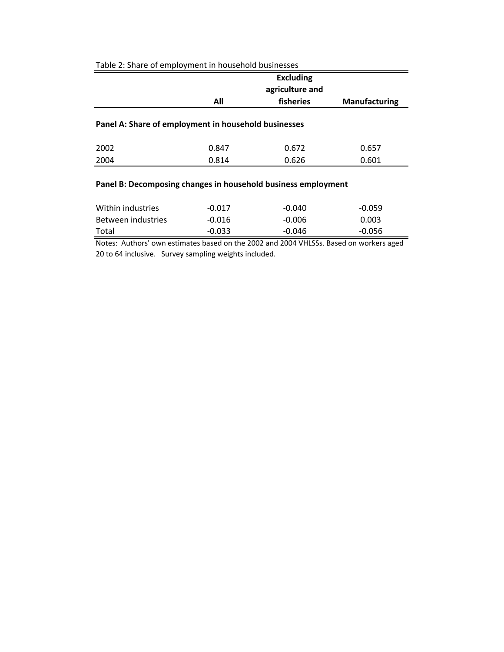|      |                                                      | <b>Excluding</b> |                      |
|------|------------------------------------------------------|------------------|----------------------|
|      |                                                      | agriculture and  |                      |
|      | All                                                  | fisheries        | <b>Manufacturing</b> |
|      |                                                      |                  |                      |
|      | Panel A: Share of employment in household businesses |                  |                      |
| 2002 | 0.847                                                | 0.672            | 0.657                |

# Table 2: Share of employment in household businesses

# **Panel B: Decomposing changes in household business employment**

| Within industries  | $-0.017$ | $-0.040$ | $-0.059$ |
|--------------------|----------|----------|----------|
| Between industries | $-0.016$ | $-0.006$ | 0.003    |
| Total              | $-0.033$ | $-0.046$ | $-0.056$ |

Notes: Authors' own estimates based on the 2002 and 2004 VHLSSs. Based on workers aged 20 to 64 inclusive. Survey sampling weights included.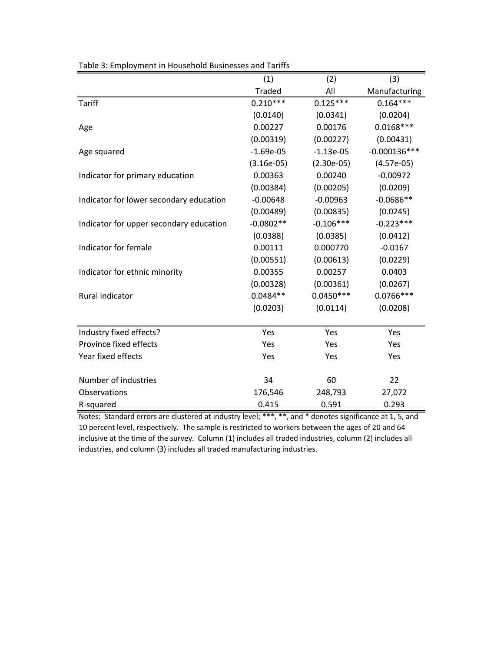| able 5: Employment in Household Businesses and Tarms | (1)           | (2)          | (3)            |
|------------------------------------------------------|---------------|--------------|----------------|
|                                                      | <b>Traded</b> | All          | Manufacturing  |
| <b>Tariff</b>                                        | $0.210***$    | $0.125***$   | $0.164***$     |
|                                                      | (0.0140)      | (0.0341)     | (0.0204)       |
| Age                                                  | 0.00227       | 0.00176      | $0.0168***$    |
|                                                      | (0.00319)     | (0.00227)    | (0.00431)      |
| Age squared                                          | $-1.69e-05$   | $-1.13e-05$  | $-0.000136***$ |
|                                                      | $(3.16e-05)$  | $(2.30e-05)$ | $(4.57e-05)$   |
| Indicator for primary education                      | 0.00363       | 0.00240      | $-0.00972$     |
|                                                      | (0.00384)     | (0.00205)    | (0.0209)       |
| Indicator for lower secondary education              | $-0.00648$    | $-0.00963$   | $-0.0686**$    |
|                                                      | (0.00489)     | (0.00835)    | (0.0245)       |
| Indicator for upper secondary education              | $-0.0802**$   | $-0.106***$  | $-0.223***$    |
|                                                      | (0.0388)      | (0.0385)     | (0.0412)       |
| Indicator for female                                 | 0.00111       | 0.000770     | $-0.0167$      |
|                                                      | (0.00551)     | (0.00613)    | (0.0229)       |
| Indicator for ethnic minority                        | 0.00355       | 0.00257      | 0.0403         |
|                                                      | (0.00328)     | (0.00361)    | (0.0267)       |
| Rural indicator                                      | $0.0484**$    | $0.0450***$  | $0.0766***$    |
|                                                      | (0.0203)      | (0.0114)     | (0.0208)       |
|                                                      |               |              |                |
| Industry fixed effects?                              | Yes           | Yes          | Yes            |
| Province fixed effects                               | Yes           | Yes          | Yes            |
| Year fixed effects                                   | Yes           | Yes          | Yes            |
|                                                      |               |              |                |
| Number of industries                                 | 34            | 60           | 22             |
| Observations                                         | 176,546       | 248,793      | 27,072         |
| R-squared                                            | 0.415         | 0.591        | 0.293          |

Table 3: Employment in Household Businesses and Tariffs

Notes: Standard errors are clustered at industry level; \*\*\*, \*\*, and \* denotes significance at 1, 5, and 10 percent level, respectively. The sample is restricted to workers between the ages of 20 and 64 inclusive at the time of the survey. Column (1) includes all traded industries, column (2) includes all industries, and column (3) includes all traded manufacturing industries.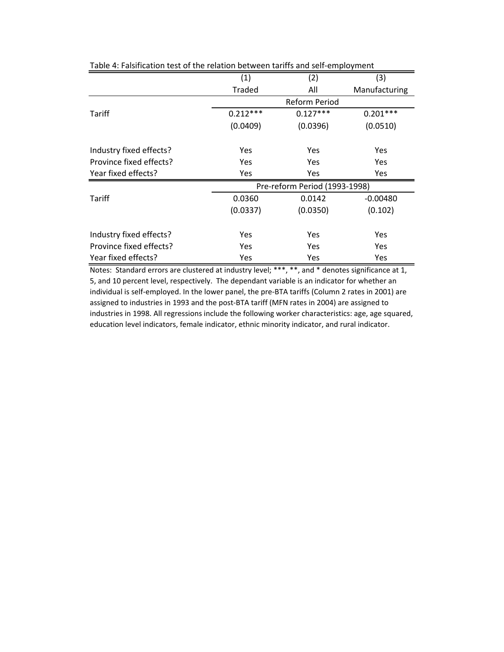|                         | (1)                  | (2)                           | (3)           |  |  |
|-------------------------|----------------------|-------------------------------|---------------|--|--|
|                         |                      |                               |               |  |  |
|                         | <b>Traded</b><br>All |                               | Manufacturing |  |  |
|                         | Reform Period        |                               |               |  |  |
| Tariff                  | $0.212***$           | $0.127***$                    | $0.201***$    |  |  |
|                         | (0.0409)             | (0.0396)                      | (0.0510)      |  |  |
|                         |                      |                               |               |  |  |
| Industry fixed effects? | Yes                  | Yes                           | Yes.          |  |  |
| Province fixed effects? | Yes                  | Yes                           | <b>Yes</b>    |  |  |
| Year fixed effects?     | <b>Yes</b>           | Yes                           | Yes           |  |  |
|                         |                      | Pre-reform Period (1993-1998) |               |  |  |
| Tariff                  | 0.0360               | 0.0142                        | $-0.00480$    |  |  |
|                         | (0.0337)             | (0.0350)                      | (0.102)       |  |  |
|                         |                      |                               |               |  |  |
| Industry fixed effects? | Yes                  | Yes                           | <b>Yes</b>    |  |  |
| Province fixed effects? | Yes                  | Yes                           | <b>Yes</b>    |  |  |
| Year fixed effects?     | Yes                  | Yes                           | Yes           |  |  |

Table 4: Falsification test of the relation between tariffs and self‐employment

Notes: Standard errors are clustered at industry level; \*\*\*, \*\*, and \* denotes significance at 1, 5, and 10 percent level, respectively. The dependant variable is an indicator for whether an individual is self‐employed. In the lower panel, the pre‐BTA tariffs (Column 2 rates in 2001) are assigned to industries in 1993 and the post‐BTA tariff (MFN rates in 2004) are assigned to industries in 1998. All regressions include the following worker characteristics: age, age squared, education level indicators, female indicator, ethnic minority indicator, and rural indicator.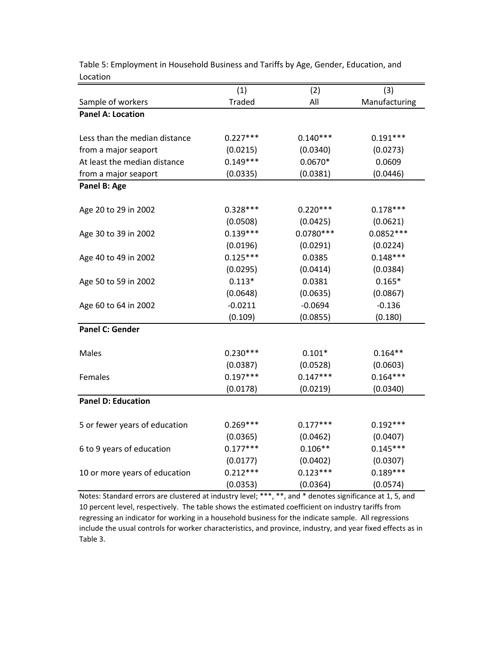|                               | (1)           | (2)         | (3)           |
|-------------------------------|---------------|-------------|---------------|
| Sample of workers             | <b>Traded</b> | All         | Manufacturing |
| <b>Panel A: Location</b>      |               |             |               |
|                               |               |             |               |
| Less than the median distance | $0.227***$    | $0.140***$  | $0.191***$    |
| from a major seaport          | (0.0215)      | (0.0340)    | (0.0273)      |
| At least the median distance  | $0.149***$    | $0.0670*$   | 0.0609        |
| from a major seaport          | (0.0335)      | (0.0381)    | (0.0446)      |
| Panel B: Age                  |               |             |               |
|                               |               |             |               |
| Age 20 to 29 in 2002          | $0.328***$    | $0.220***$  | $0.178***$    |
|                               | (0.0508)      | (0.0425)    | (0.0621)      |
| Age 30 to 39 in 2002          | $0.139***$    | $0.0780***$ | $0.0852***$   |
|                               | (0.0196)      | (0.0291)    | (0.0224)      |
| Age 40 to 49 in 2002          | $0.125***$    | 0.0385      | $0.148***$    |
|                               | (0.0295)      | (0.0414)    | (0.0384)      |
| Age 50 to 59 in 2002          | $0.113*$      | 0.0381      | $0.165*$      |
|                               | (0.0648)      | (0.0635)    | (0.0867)      |
| Age 60 to 64 in 2002          | $-0.0211$     | $-0.0694$   | $-0.136$      |
|                               | (0.109)       | (0.0855)    | (0.180)       |
| <b>Panel C: Gender</b>        |               |             |               |
|                               |               |             |               |
| Males                         | $0.230***$    | $0.101*$    | $0.164**$     |
|                               | (0.0387)      | (0.0528)    | (0.0603)      |
| Females                       | $0.197***$    | $0.147***$  | $0.164***$    |
|                               | (0.0178)      | (0.0219)    | (0.0340)      |
| <b>Panel D: Education</b>     |               |             |               |
|                               |               |             |               |
| 5 or fewer years of education | $0.269***$    | $0.177***$  | $0.192***$    |
|                               | (0.0365)      | (0.0462)    | (0.0407)      |
| 6 to 9 years of education     | $0.177***$    | $0.106**$   | $0.145***$    |
|                               | (0.0177)      | (0.0402)    | (0.0307)      |
| 10 or more years of education | $0.212***$    | $0.123***$  | $0.189***$    |
|                               | (0.0353)      | (0.0364)    | (0.0574)      |

Table 5: Employment in Household Business and Tariffs by Age, Gender, Education, and Location

Notes: Standard errors are clustered at industry level; \*\*\*, \*\*, and \* denotes significance at 1, 5, and 10 percent level, respectively. The table shows the estimated coefficient on industry tariffs from regressing an indicator for working in a household business for the indicate sample. All regressions include the usual controls for worker characteristics, and province, industry, and year fixed effects as in Table 3.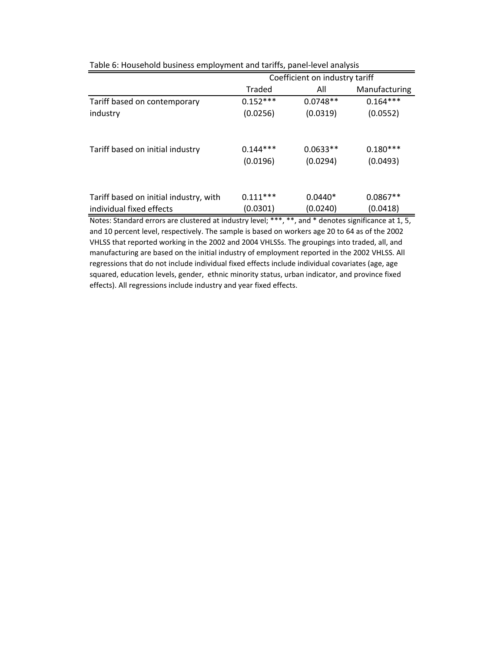|                                        |                        | Coefficient on industry tariff |                        |
|----------------------------------------|------------------------|--------------------------------|------------------------|
|                                        | Traded                 | All                            | Manufacturing          |
| Tariff based on contemporary           | $0.152***$             | $0.0748**$                     | $0.164***$             |
| industry                               | (0.0256)               | (0.0319)                       | (0.0552)               |
| Tariff based on initial industry       | $0.144***$<br>(0.0196) | $0.0633**$<br>(0.0294)         | $0.180***$<br>(0.0493) |
| Tariff based on initial industry, with | $0.111***$             | $0.0440*$                      | $0.0867**$             |
| individual fixed effects               | (0.0301)               | (0.0240)                       | (0.0418)               |

Table 6: Household business employment and tariffs, panel‐level analysis

Notes: Standard errors are clustered at industry level; \*\*\*, \*\*, and \* denotes significance at 1, 5, and 10 percent level, respectively. The sample is based on workers age 20 to 64 as of the 2002 VHLSS that reported working in the 2002 and 2004 VHLSSs. The groupings into traded, all, and manufacturing are based on the initial industry of employment reported in the 2002 VHLSS. All regressions that do not include individual fixed effects include individual covariates (age, age squared, education levels, gender, ethnic minority status, urban indicator, and province fixed effects). All regressions include industry and year fixed effects.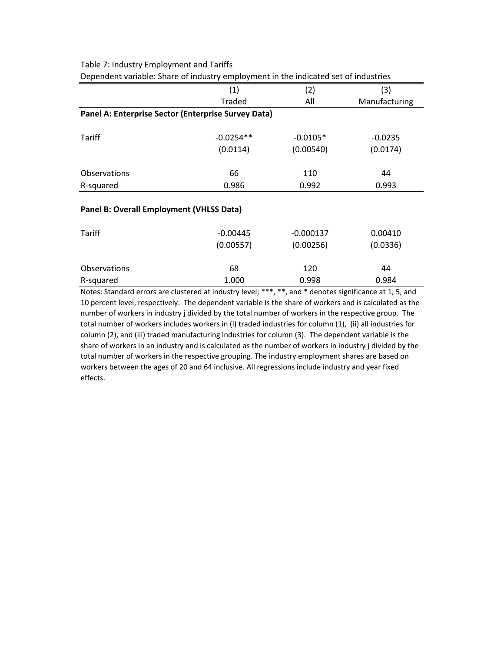|                                                     | pependent variable. Share or maastry employment in the malcated set or maastries |            |               |  |  |  |  |
|-----------------------------------------------------|----------------------------------------------------------------------------------|------------|---------------|--|--|--|--|
|                                                     | (1)                                                                              | (2)        | (3)           |  |  |  |  |
|                                                     | Traded<br>All                                                                    |            | Manufacturing |  |  |  |  |
| Panel A: Enterprise Sector (Enterprise Survey Data) |                                                                                  |            |               |  |  |  |  |
| Tariff                                              | $-0.0254**$                                                                      | $-0.0105*$ | $-0.0235$     |  |  |  |  |
|                                                     | (0.0114)                                                                         | (0.00540)  | (0.0174)      |  |  |  |  |
| <b>Observations</b>                                 | 66                                                                               | 110        | 44            |  |  |  |  |
| R-squared                                           | 0.986                                                                            | 0.992      | 0.993         |  |  |  |  |
|                                                     |                                                                                  |            |               |  |  |  |  |

Table 7: Industry Employment and Tariffs

# Dependent variable: Share of industry employment in the indicated set of industries

## **Panel B: Overall Employment (VHLSS Data)**

| Tariff       | $-0.00445$<br>(0.00557) | $-0.000137$<br>(0.00256) | 0.00410<br>(0.0336) |
|--------------|-------------------------|--------------------------|---------------------|
| Observations | 68                      | 120                      | 44                  |
| R-squared    | 1.000                   | 0.998                    | 0.984               |

Notes: Standard errors are clustered at industry level; \*\*\*, \*\*, and \* denotes significance at 1, 5, and 10 percent level, respectively. The dependent variable is the share of workers and is calculated as the number of workers in industry j divided by the total number of workers in the respective group. The total number of workers includes workers in (i) traded industries for column (1), (ii) all industries for column (2), and (iii) traded manufacturing industries for column (3). The dependent variable is the share of workers in an industry and is calculated as the number of workers in industry j divided by the total number of workers in the respective grouping. The industry employment shares are based on workers between the ages of 20 and 64 inclusive. All regressions include industry and year fixed effects.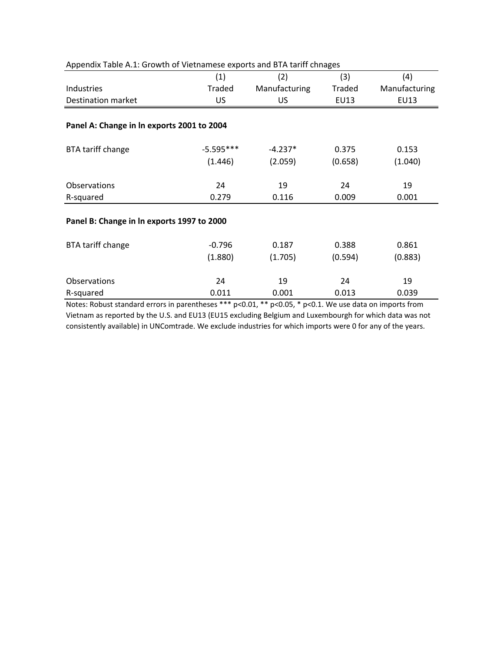| Appendix Table A.I. Growth of Vietnamese exports and BTA tariff childges |               |               |               |               |
|--------------------------------------------------------------------------|---------------|---------------|---------------|---------------|
|                                                                          | (1)           | (2)           | (3)           | (4)           |
| Industries                                                               | <b>Traded</b> | Manufacturing | <b>Traded</b> | Manufacturing |
| <b>Destination market</b>                                                | <b>US</b>     | <b>US</b>     | <b>EU13</b>   | EU13          |
|                                                                          |               |               |               |               |
| Panel A: Change in In exports 2001 to 2004                               |               |               |               |               |
| BTA tariff change                                                        | $-5.595***$   | $-4.237*$     | 0.375         | 0.153         |
|                                                                          | (1.446)       | (2.059)       | (0.658)       | (1.040)       |
| <b>Observations</b>                                                      | 24            | 19            | 24            | 19            |
| R-squared                                                                | 0.279         | 0.116         | 0.009         | 0.001         |
| Panel B: Change in In exports 1997 to 2000                               |               |               |               |               |
| BTA tariff change                                                        | $-0.796$      | 0.187         | 0.388         | 0.861         |
|                                                                          | (1.880)       | (1.705)       | (0.594)       | (0.883)       |
| <b>Observations</b>                                                      | 24            | 19            | 24            | 19            |
| R-squared                                                                | 0.011         | 0.001         | 0.013         | 0.039         |

Notes: Robust standard errors in parentheses \*\*\* p<0.01, \*\* p<0.05, \* p<0.1. We use data on imports from Vietnam as reported by the U.S. and EU13 (EU15 excluding Belgium and Luxembourgh for which data was not consistently available) in UNComtrade. We exclude industries for which imports were 0 for any of the years.

# Appendix Table A.1: Growth of Vietnamese exports and BTA tariff chnages